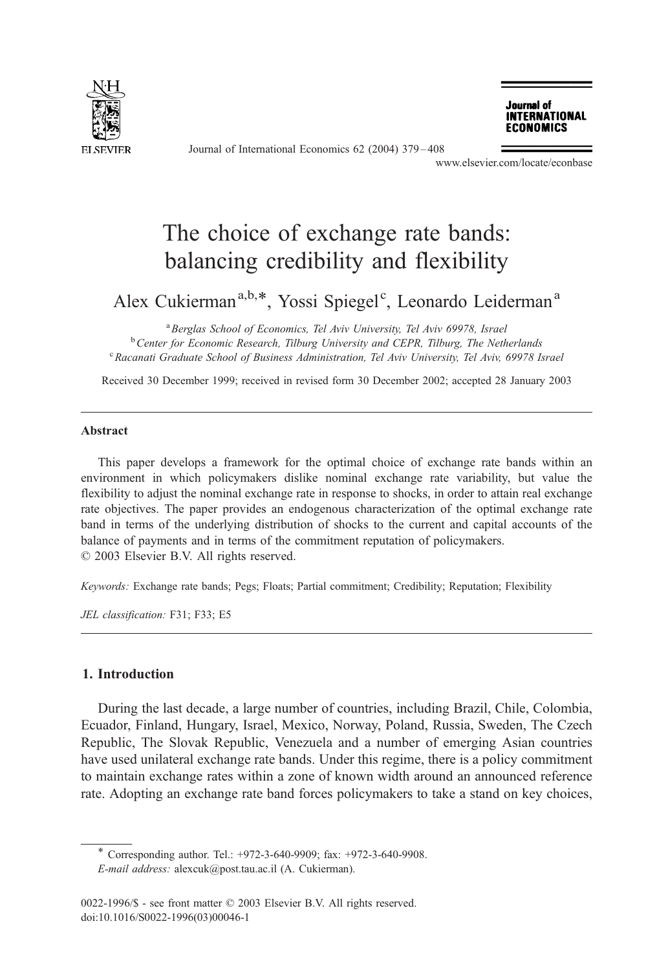

Journal of International Economics 62 (2004) 379 – 408

Journal of **INTERNATIONAL ECONOMICS** 

www.elsevier.com/locate/econbase

# The choice of exchange rate bands: balancing credibility and flexibility

Alex Cukierman<sup>a,b,\*</sup>, Yossi Spiegel<sup>c</sup>, Leonardo Leiderman<sup>a</sup>

<sup>a</sup> Berglas School of Economics, Tel Aviv University, Tel Aviv 69978, Israel<br><sup>b</sup> Center for Economic Besearch, Tilburg University and CEPP, Tilburg, The Neth <sup>b</sup> Center for Economic Research, Tilburg University and CEPR, Tilburg, The Netherlands  $\textdegree$  Racanati Graduate School of Business Administration, Tel Aviv University, Tel Aviv, 69978 Israel

Received 30 December 1999; received in revised form 30 December 2002; accepted 28 January 2003

#### Abstract

This paper develops a framework for the optimal choice of exchange rate bands within an environment in which policymakers dislike nominal exchange rate variability, but value the flexibility to adjust the nominal exchange rate in response to shocks, in order to attain real exchange rate objectives. The paper provides an endogenous characterization of the optimal exchange rate band in terms of the underlying distribution of shocks to the current and capital accounts of the balance of payments and in terms of the commitment reputation of policymakers.  $\odot$  2003 Elsevier B.V. All rights reserved.

Keywords: Exchange rate bands; Pegs; Floats; Partial commitment; Credibility; Reputation; Flexibility

JEL classification: F31; F33; E5

# 1. Introduction

During the last decade, a large number of countries, including Brazil, Chile, Colombia, Ecuador, Finland, Hungary, Israel, Mexico, Norway, Poland, Russia, Sweden, The Czech Republic, The Slovak Republic, Venezuela and a number of emerging Asian countries have used unilateral exchange rate bands. Under this regime, there is a policy commitment to maintain exchange rates within a zone of known width around an announced reference rate. Adopting an exchange rate band forces policymakers to take a stand on key choices,

<sup>\*</sup> Corresponding author. Tel.: +972-3-640-9909; fax: +972-3-640-9908.

E-mail address: alexcuk@post.tau.ac.il (A. Cukierman).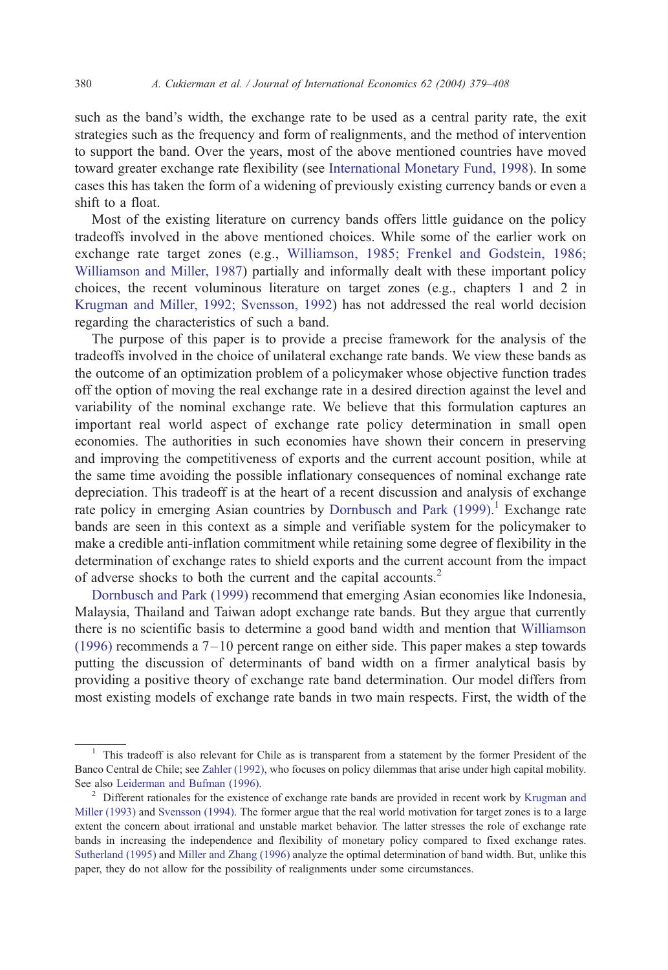such as the band's width, the exchange rate to be used as a central parity rate, the exit strategies such as the frequency and form of realignments, and the method of intervention to support the band. Over the years, most of the above mentioned countries have moved toward greater exchange rate flexibility (see [International Monetary Fund, 1998\)](#page-29-0). In some cases this has taken the form of a widening of previously existing currency bands or even a shift to a float.

Most of the existing literature on currency bands offers little guidance on the policy tradeoffs involved in the above mentioned choices. While some of the earlier work on exchange rate target zones (e.g., [Williamson, 1985; Frenkel and Godstein, 1986;](#page-29-0) Williamson and Miller, 1987) partially and informally dealt with these important policy choices, the recent voluminous literature on target zones (e.g., chapters 1 and 2 in [Krugman and Miller, 1992; Svensson, 1992\)](#page-29-0) has not addressed the real world decision regarding the characteristics of such a band.

The purpose of this paper is to provide a precise framework for the analysis of the tradeoffs involved in the choice of unilateral exchange rate bands. We view these bands as the outcome of an optimization problem of a policymaker whose objective function trades off the option of moving the real exchange rate in a desired direction against the level and variability of the nominal exchange rate. We believe that this formulation captures an important real world aspect of exchange rate policy determination in small open economies. The authorities in such economies have shown their concern in preserving and improving the competitiveness of exports and the current account position, while at the same time avoiding the possible inflationary consequences of nominal exchange rate depreciation. This tradeoff is at the heart of a recent discussion and analysis of exchange rate policy in emerging Asian countries by [Dornbusch and Park \(1999\).](#page-29-0) <sup>1</sup> Exchange rate bands are seen in this context as a simple and verifiable system for the policymaker to make a credible anti-inflation commitment while retaining some degree of flexibility in the determination of exchange rates to shield exports and the current account from the impact of adverse shocks to both the current and the capital accounts.<sup>2</sup>

[Dornbusch and Park \(1999\)](#page-29-0) recommend that emerging Asian economies like Indonesia, Malaysia, Thailand and Taiwan adopt exchange rate bands. But they argue that currently there is no scientific basis to determine a good band width and mention that [Williamson](#page-29-0)  $(1996)$  recommends a  $7-10$  percent range on either side. This paper makes a step towards putting the discussion of determinants of band width on a firmer analytical basis by providing a positive theory of exchange rate band determination. Our model differs from most existing models of exchange rate bands in two main respects. First, the width of the

 $1$  This tradeoff is also relevant for Chile as is transparent from a statement by the former President of the Banco Central de Chile; see [Zahler \(1992\),](#page-29-0) who focuses on policy dilemmas that arise under high capital mobility. See also [Leiderman and Bufman \(1996\).](#page-29-0)<br><sup>2</sup> Different rationales for the existence of exchange rate bands are provided in recent work by [Krugman and](#page-29-0)

Miller (1993) and [Svensson \(1994\).](#page-29-0) The former argue that the real world motivation for target zones is to a large extent the concern about irrational and unstable market behavior. The latter stresses the role of exchange rate bands in increasing the independence and flexibility of monetary policy compared to fixed exchange rates. [Sutherland \(1995\)](#page-29-0) and [Miller and Zhang \(1996\)](#page-29-0) analyze the optimal determination of band width. But, unlike this paper, they do not allow for the possibility of realignments under some circumstances.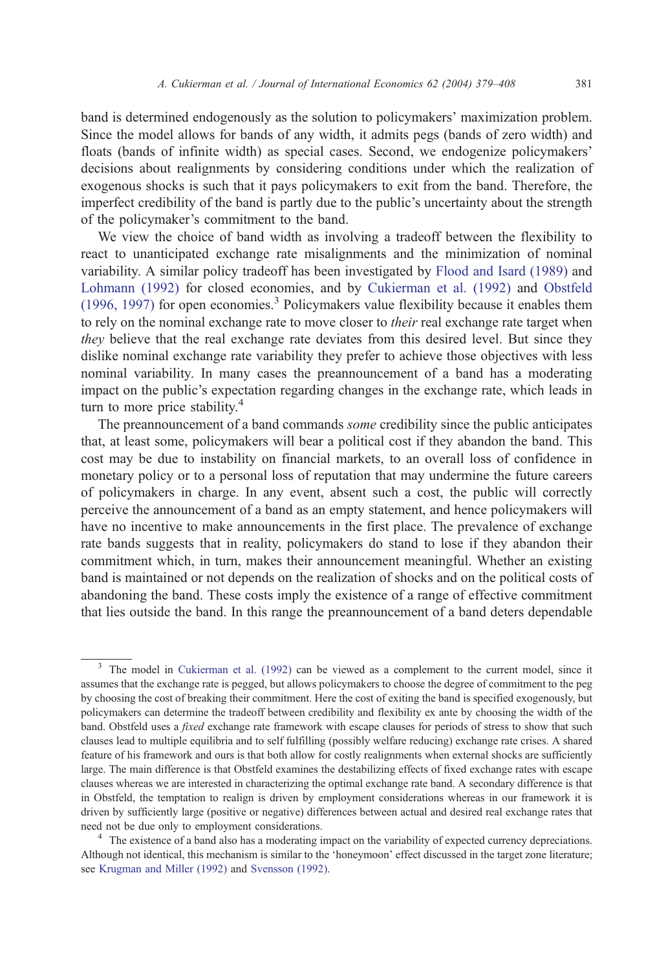band is determined endogenously as the solution to policymakers' maximization problem. Since the model allows for bands of any width, it admits pegs (bands of zero width) and floats (bands of infinite width) as special cases. Second, we endogenize policymakers' decisions about realignments by considering conditions under which the realization of exogenous shocks is such that it pays policymakers to exit from the band. Therefore, the imperfect credibility of the band is partly due to the public's uncertainty about the strength of the policymaker's commitment to the band.

We view the choice of band width as involving a tradeoff between the flexibility to react to unanticipated exchange rate misalignments and the minimization of nominal variability. A similar policy tradeoff has been investigated by [Flood and Isard \(1989\)](#page-29-0) and [Lohmann \(1992\)](#page-29-0) for closed economies, and by [Cukierman et al. \(1992\)](#page-29-0) and [Obstfeld](#page-29-0) (1996, 1997) for open economies.<sup>3</sup> Policymakers value flexibility because it enables them to rely on the nominal exchange rate to move closer to *their* real exchange rate target when they believe that the real exchange rate deviates from this desired level. But since they dislike nominal exchange rate variability they prefer to achieve those objectives with less nominal variability. In many cases the preannouncement of a band has a moderating impact on the public's expectation regarding changes in the exchange rate, which leads in turn to more price stability.<sup>4</sup>

The preannouncement of a band commands *some* credibility since the public anticipates that, at least some, policymakers will bear a political cost if they abandon the band. This cost may be due to instability on financial markets, to an overall loss of confidence in monetary policy or to a personal loss of reputation that may undermine the future careers of policymakers in charge. In any event, absent such a cost, the public will correctly perceive the announcement of a band as an empty statement, and hence policymakers will have no incentive to make announcements in the first place. The prevalence of exchange rate bands suggests that in reality, policymakers do stand to lose if they abandon their commitment which, in turn, makes their announcement meaningful. Whether an existing band is maintained or not depends on the realization of shocks and on the political costs of abandoning the band. These costs imply the existence of a range of effective commitment that lies outside the band. In this range the preannouncement of a band deters dependable

<sup>&</sup>lt;sup>3</sup> The model in [Cukierman et al. \(1992\)](#page-29-0) can be viewed as a complement to the current model, since it assumes that the exchange rate is pegged, but allows policymakers to choose the degree of commitment to the peg by choosing the cost of breaking their commitment. Here the cost of exiting the band is specified exogenously, but policymakers can determine the tradeoff between credibility and flexibility ex ante by choosing the width of the band. Obstfeld uses a fixed exchange rate framework with escape clauses for periods of stress to show that such clauses lead to multiple equilibria and to self fulfilling (possibly welfare reducing) exchange rate crises. A shared feature of his framework and ours is that both allow for costly realignments when external shocks are sufficiently large. The main difference is that Obstfeld examines the destabilizing effects of fixed exchange rates with escape clauses whereas we are interested in characterizing the optimal exchange rate band. A secondary difference is that in Obstfeld, the temptation to realign is driven by employment considerations whereas in our framework it is driven by sufficiently large (positive or negative) differences between actual and desired real exchange rates that need not be due only to employment considerations.<br><sup>4</sup> The existence of a band also has a moderating impact on the variability of expected currency depreciations.

Although not identical, this mechanism is similar to the 'honeymoon' effect discussed in the target zone literature; see [Krugman and Miller \(1992\)](#page-29-0) and [Svensson \(1992\).](#page-29-0)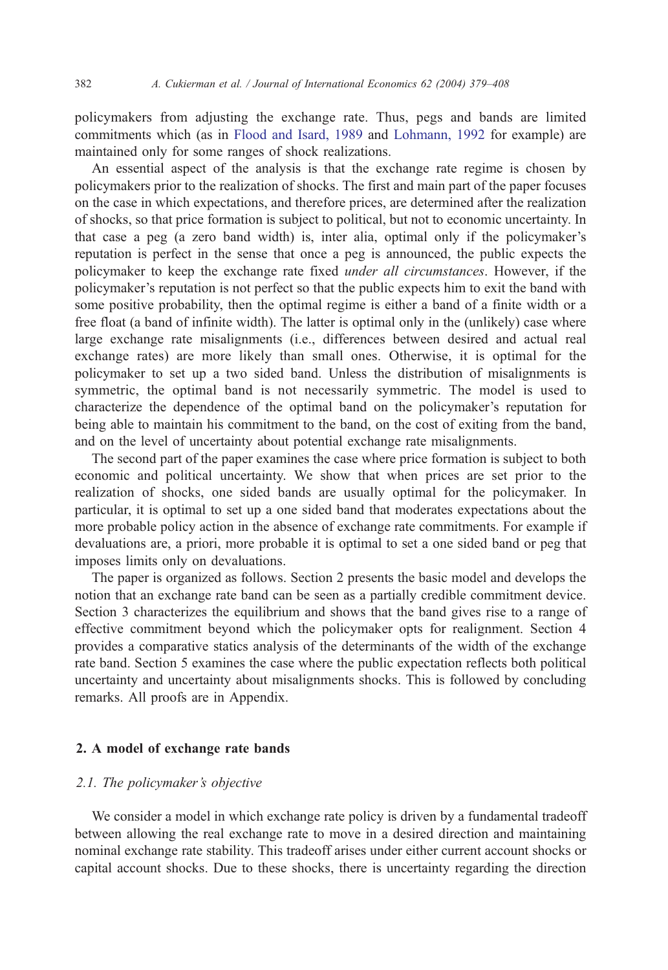policymakers from adjusting the exchange rate. Thus, pegs and bands are limited commitments which (as in [Flood and Isard, 1989](#page-29-0) and [Lohmann, 1992](#page-29-0) for example) are maintained only for some ranges of shock realizations.

An essential aspect of the analysis is that the exchange rate regime is chosen by policymakers prior to the realization of shocks. The first and main part of the paper focuses on the case in which expectations, and therefore prices, are determined after the realization of shocks, so that price formation is subject to political, but not to economic uncertainty. In that case a peg (a zero band width) is, inter alia, optimal only if the policymaker's reputation is perfect in the sense that once a peg is announced, the public expects the policymaker to keep the exchange rate fixed under all circumstances. However, if the policymaker's reputation is not perfect so that the public expects him to exit the band with some positive probability, then the optimal regime is either a band of a finite width or a free float (a band of infinite width). The latter is optimal only in the (unlikely) case where large exchange rate misalignments (i.e., differences between desired and actual real exchange rates) are more likely than small ones. Otherwise, it is optimal for the policymaker to set up a two sided band. Unless the distribution of misalignments is symmetric, the optimal band is not necessarily symmetric. The model is used to characterize the dependence of the optimal band on the policymaker's reputation for being able to maintain his commitment to the band, on the cost of exiting from the band, and on the level of uncertainty about potential exchange rate misalignments.

The second part of the paper examines the case where price formation is subject to both economic and political uncertainty. We show that when prices are set prior to the realization of shocks, one sided bands are usually optimal for the policymaker. In particular, it is optimal to set up a one sided band that moderates expectations about the more probable policy action in the absence of exchange rate commitments. For example if devaluations are, a priori, more probable it is optimal to set a one sided band or peg that imposes limits only on devaluations.

The paper is organized as follows. Section 2 presents the basic model and develops the notion that an exchange rate band can be seen as a partially credible commitment device. Section 3 characterizes the equilibrium and shows that the band gives rise to a range of effective commitment beyond which the policymaker opts for realignment. Section 4 provides a comparative statics analysis of the determinants of the width of the exchange rate band. Section 5 examines the case where the public expectation reflects both political uncertainty and uncertainty about misalignments shocks. This is followed by concluding remarks. All proofs are in Appendix.

## 2. A model of exchange rate bands

## 2.1. The policymaker's objective

We consider a model in which exchange rate policy is driven by a fundamental tradeoff between allowing the real exchange rate to move in a desired direction and maintaining nominal exchange rate stability. This tradeoff arises under either current account shocks or capital account shocks. Due to these shocks, there is uncertainty regarding the direction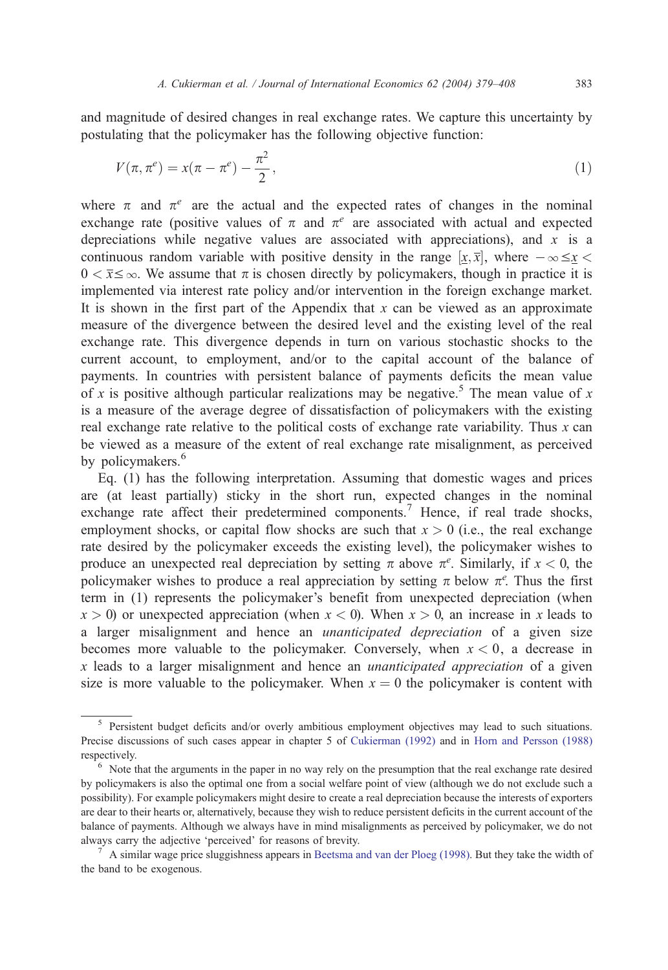and magnitude of desired changes in real exchange rates. We capture this uncertainty by postulating that the policymaker has the following objective function:

$$
V(\pi, \pi^e) = x(\pi - \pi^e) - \frac{\pi^2}{2},
$$
\n(1)

where  $\pi$  and  $\pi^e$  are the actual and the expected rates of changes in the nominal exchange rate (positive values of  $\pi$  and  $\pi^e$  are associated with actual and expected depreciations while negative values are associated with appreciations), and  $x$  is a continuous random variable with positive density in the range  $[x,\overline{x}]$ , where  $-\infty \leq x <$  $0 < \overline{x} \le \infty$ . We assume that  $\pi$  is chosen directly by policymakers, though in practice it is implemented via interest rate policy and/or intervention in the foreign exchange market. It is shown in the first part of the Appendix that  $x$  can be viewed as an approximate measure of the divergence between the desired level and the existing level of the real exchange rate. This divergence depends in turn on various stochastic shocks to the current account, to employment, and/or to the capital account of the balance of payments. In countries with persistent balance of payments deficits the mean value of x is positive although particular realizations may be negative.<sup>5</sup> The mean value of x is a measure of the average degree of dissatisfaction of policymakers with the existing real exchange rate relative to the political costs of exchange rate variability. Thus  $x$  can be viewed as a measure of the extent of real exchange rate misalignment, as perceived by policymakers.<sup>6</sup>

Eq. (1) has the following interpretation. Assuming that domestic wages and prices are (at least partially) sticky in the short run, expected changes in the nominal exchange rate affect their predetermined components.<sup>7</sup> Hence, if real trade shocks, employment shocks, or capital flow shocks are such that  $x > 0$  (i.e., the real exchange rate desired by the policymaker exceeds the existing level), the policymaker wishes to produce an unexpected real depreciation by setting  $\pi$  above  $\pi^e$ . Similarly, if  $x < 0$ , the policymaker wishes to produce a real appreciation by setting  $\pi$  below  $\pi^e$ . Thus the first term in (1) represents the policymaker's benefit from unexpected depreciation (when  $x > 0$ ) or unexpected appreciation (when  $x < 0$ ). When  $x > 0$ , an increase in x leads to a larger misalignment and hence an unanticipated depreciation of a given size becomes more valuable to the policymaker. Conversely, when  $x < 0$ , a decrease in x leads to a larger misalignment and hence an unanticipated appreciation of a given size is more valuable to the policymaker. When  $x = 0$  the policymaker is content with

 $5$  Persistent budget deficits and/or overly ambitious employment objectives may lead to such situations. Precise discussions of such cases appear in chapter 5 of [Cukierman \(1992\)](#page-28-0) and in [Horn and Persson \(1988\)](#page-29-0) respectively.<br><sup>6</sup> Note that the arguments in the paper in no way rely on the presumption that the real exchange rate desired

by policymakers is also the optimal one from a social welfare point of view (although we do not exclude such a possibility). For example policymakers might desire to create a real depreciation because the interests of exporters are dear to their hearts or, alternatively, because they wish to reduce persistent deficits in the current account of the balance of payments. Although we always have in mind misalignments as perceived by policymaker, we do not always carry the adjective 'perceived' for reasons of brevity.

 $^7$  A similar wage price sluggishness appears in [Beetsma and van der Ploeg \(1998\).](#page-28-0) But they take the width of the band to be exogenous.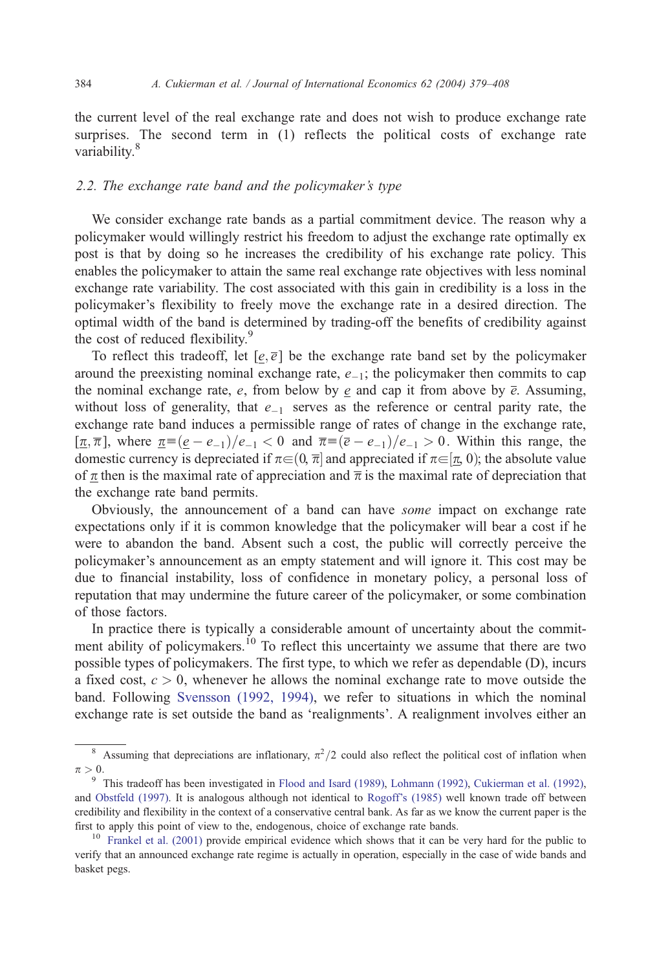the current level of the real exchange rate and does not wish to produce exchange rate surprises. The second term in (1) reflects the political costs of exchange rate variability.<sup>8</sup>

## 2.2. The exchange rate band and the policymaker's type

We consider exchange rate bands as a partial commitment device. The reason why a policymaker would willingly restrict his freedom to adjust the exchange rate optimally ex post is that by doing so he increases the credibility of his exchange rate policy. This enables the policymaker to attain the same real exchange rate objectives with less nominal exchange rate variability. The cost associated with this gain in credibility is a loss in the policymaker's flexibility to freely move the exchange rate in a desired direction. The optimal width of the band is determined by trading-off the benefits of credibility against the cost of reduced flexibility.<sup>9</sup>

To reflect this tradeoff, let  $[e,\overline{e}]$  be the exchange rate band set by the policymaker around the preexisting nominal exchange rate,  $e_{-1}$ ; the policymaker then commits to cap the nominal exchange rate, e, from below by  $\epsilon$  and cap it from above by  $\bar{e}$ . Assuming, without loss of generality, that  $e_{-1}$  serves as the reference or central parity rate, the exchange rate band induces a permissible range of rates of change in the exchange rate,  $[\pi,\overline{\pi}]$ , where  $\pi \equiv (e-e_{-1})/e_{-1} < 0$  and  $\overline{\pi} \equiv (\overline{e}-e_{-1})/e_{-1} > 0$ . Within this range, the domestic currency is depreciated if  $\pi \in (0, \overline{\pi}]$  and appreciated if  $\pi \in [\underline{\pi}, 0)$ ; the absolute value of  $\pi$  then is the maximal rate of appreciation and  $\bar{\pi}$  is the maximal rate of depreciation that the exchange rate band permits.

Obviously, the announcement of a band can have some impact on exchange rate expectations only if it is common knowledge that the policymaker will bear a cost if he were to abandon the band. Absent such a cost, the public will correctly perceive the policymaker's announcement as an empty statement and will ignore it. This cost may be due to financial instability, loss of confidence in monetary policy, a personal loss of reputation that may undermine the future career of the policymaker, or some combination of those factors.

In practice there is typically a considerable amount of uncertainty about the commitment ability of policymakers.<sup>10</sup> To reflect this uncertainty we assume that there are two possible types of policymakers. The first type, to which we refer as dependable (D), incurs a fixed cost,  $c > 0$ , whenever he allows the nominal exchange rate to move outside the band. Following [Svensson \(1992, 1994\),](#page-29-0) we refer to situations in which the nominal exchange rate is set outside the band as 'realignments'. A realignment involves either an

<sup>&</sup>lt;sup>8</sup> Assuming that depreciations are inflationary,  $\pi^2/2$  could also reflect the political cost of inflation when

 $p = \frac{p}{\sqrt{p}}$  This tradeoff has been investigated in [Flood and Isard \(1989\),](#page-29-0) [Lohmann \(1992\),](#page-29-0) [Cukierman et al. \(1992\),](#page-29-0) and [Obstfeld \(1997\).](#page-29-0) It is analogous although not identical to [Rogoff's \(1985\)](#page-29-0) well known trade off between credibility and flexibility in the context of a conservative central bank. As far as we know the current paper is the first to apply this point of view to the, endogenous, choice of exchange rate bands.<br><sup>10</sup> [Frankel et al. \(2001\)](#page-29-0) provide empirical evidence which shows that it can be very hard for the public to

verify that an announced exchange rate regime is actually in operation, especially in the case of wide bands and basket pegs.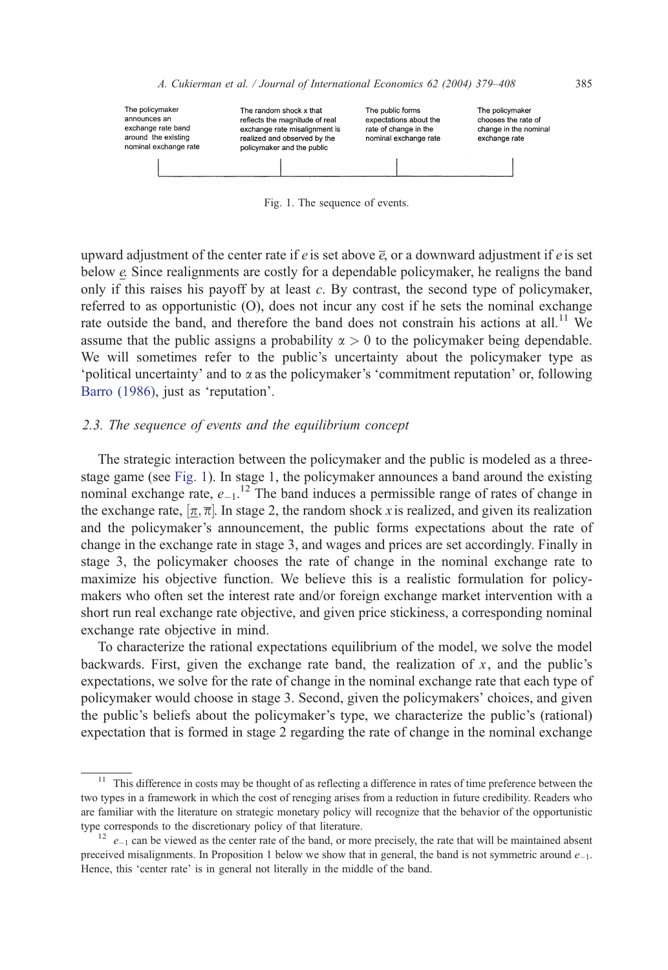

Fig. 1. The sequence of events.

upward adjustment of the center rate if e is set above  $\bar{e}$ , or a downward adjustment if e is set below e. Since realignments are costly for a dependable policymaker, he realigns the band only if this raises his payoff by at least  $c$ . By contrast, the second type of policymaker, referred to as opportunistic (O), does not incur any cost if he sets the nominal exchange rate outside the band, and therefore the band does not constrain his actions at all.<sup>11</sup> We assume that the public assigns a probability  $\alpha > 0$  to the policymaker being dependable. We will sometimes refer to the public's uncertainty about the policymaker type as 'political uncertainty' and to  $\alpha$  as the policymaker's 'commitment reputation' or, following [Barro \(1986\),](#page-28-0) just as 'reputation'.

## 2.3. The sequence of events and the equilibrium concept

The strategic interaction between the policymaker and the public is modeled as a threestage game (see Fig. 1). In stage 1, the policymaker announces a band around the existing nominal exchange rate,  $e_{-1}$ .<sup>12</sup> The band induces a permissible range of rates of change in the exchange rate,  $[\pi, \overline{\pi}]$ . In stage 2, the random shock x is realized, and given its realization and the policymaker's announcement, the public forms expectations about the rate of change in the exchange rate in stage 3, and wages and prices are set accordingly. Finally in stage 3, the policymaker chooses the rate of change in the nominal exchange rate to maximize his objective function. We believe this is a realistic formulation for policymakers who often set the interest rate and/or foreign exchange market intervention with a short run real exchange rate objective, and given price stickiness, a corresponding nominal exchange rate objective in mind.

To characterize the rational expectations equilibrium of the model, we solve the model backwards. First, given the exchange rate band, the realization of x, and the public's expectations, we solve for the rate of change in the nominal exchange rate that each type of policymaker would choose in stage 3. Second, given the policymakers' choices, and given the public's beliefs about the policymaker's type, we characterize the public's (rational) expectation that is formed in stage 2 regarding the rate of change in the nominal exchange

<sup>&</sup>lt;sup>11</sup> This difference in costs may be thought of as reflecting a difference in rates of time preference between the two types in a framework in which the cost of reneging arises from a reduction in future credibility. Readers who are familiar with the literature on strategic monetary policy will recognize that the behavior of the opportunistic type corresponds to the discretionary policy of that literature.

 $12$  e<sub>-1</sub> can be viewed as the center rate of the band, or more precisely, the rate that will be maintained absent preceived misalignments. In Proposition 1 below we show that in general, the band is not symmetric around  $e_{-1}$ . Hence, this 'center rate' is in general not literally in the middle of the band.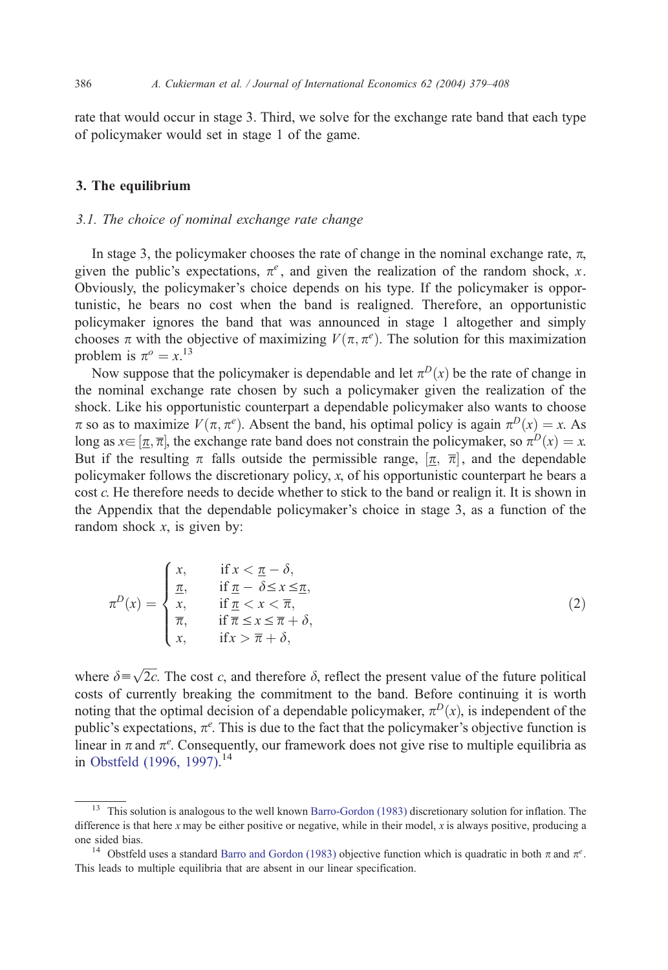rate that would occur in stage 3. Third, we solve for the exchange rate band that each type of policymaker would set in stage 1 of the game.

# 3. The equilibrium

### 3.1. The choice of nominal exchange rate change

In stage 3, the policymaker chooses the rate of change in the nominal exchange rate,  $\pi$ , given the public's expectations,  $\pi^e$ , and given the realization of the random shock, x. Obviously, the policymaker's choice depends on his type. If the policymaker is opportunistic, he bears no cost when the band is realigned. Therefore, an opportunistic policymaker ignores the band that was announced in stage 1 altogether and simply chooses  $\pi$  with the objective of maximizing  $V(\pi, \pi^e)$ . The solution for this maximization problem is  $\pi^o = x$ <sup>13</sup>

Now suppose that the policymaker is dependable and let  $\pi^{D}(x)$  be the rate of change in the nominal exchange rate chosen by such a policymaker given the realization of the shock. Like his opportunistic counterpart a dependable policymaker also wants to choose  $\pi$  so as to maximize  $V(\pi, \pi^e)$ . Absent the band, his optimal policy is again  $\pi^D(x) = x$ . As long as  $x \in [\pi, \overline{\pi}]$ , the exchange rate band does not constrain the policymaker, so  $\pi^D(x) = x$ . But if the resulting  $\pi$  falls outside the permissible range,  $[\pi, \bar{\pi}]$ , and the dependable policymaker follows the discretionary policy, x, of his opportunistic counterpart he bears a cost c. He therefore needs to decide whether to stick to the band or realign it. It is shown in the Appendix that the dependable policymaker's choice in stage 3, as a function of the random shock  $x$ , is given by:

$$
\pi^{D}(x) = \begin{cases}\nx, & \text{if } x < \underline{\pi} - \delta, \\
\frac{\underline{\pi}}{x}, & \text{if } \frac{\underline{\pi}}{x} - \delta \leq x \leq \underline{\pi}, \\
x, & \text{if } \frac{\underline{\pi}}{x} < x < \overline{\pi}, \\
\overline{\pi}, & \text{if } \overline{\pi} \leq x \leq \overline{\pi} + \delta, \\
x, & \text{if } x > \overline{\pi} + \delta,\n\end{cases}
$$
\n(2)

where  $\delta = \sqrt{2c}$ . The cost c, and therefore  $\delta$ , reflect the present value of the future political costs of currently breaking the commitment to the band. Before continuing it is worth noting that the optimal decision of a dependable policymaker,  $\pi^{D}(x)$ , is independent of the public's expectations,  $\pi^e$ . This is due to the fact that the policymaker's objective function is linear in  $\pi$  and  $\pi^e$ . Consequently, our framework does not give rise to multiple equilibria as in [Obstfeld \(1996, 1997\).](#page-29-0) 14

<sup>&</sup>lt;sup>13</sup> This solution is analogous to the well known [Barro-Gordon \(1983\)](#page-28-0) discretionary solution for inflation. The difference is that here x may be either positive or negative, while in their model, x is always positive, producing a one sided bias.<br><sup>14</sup> Obstfeld uses a standard [Barro and Gordon \(1983\)](#page-28-0) objective function which is quadratic in both  $\pi$  and  $\pi^e$ .

This leads to multiple equilibria that are absent in our linear specification.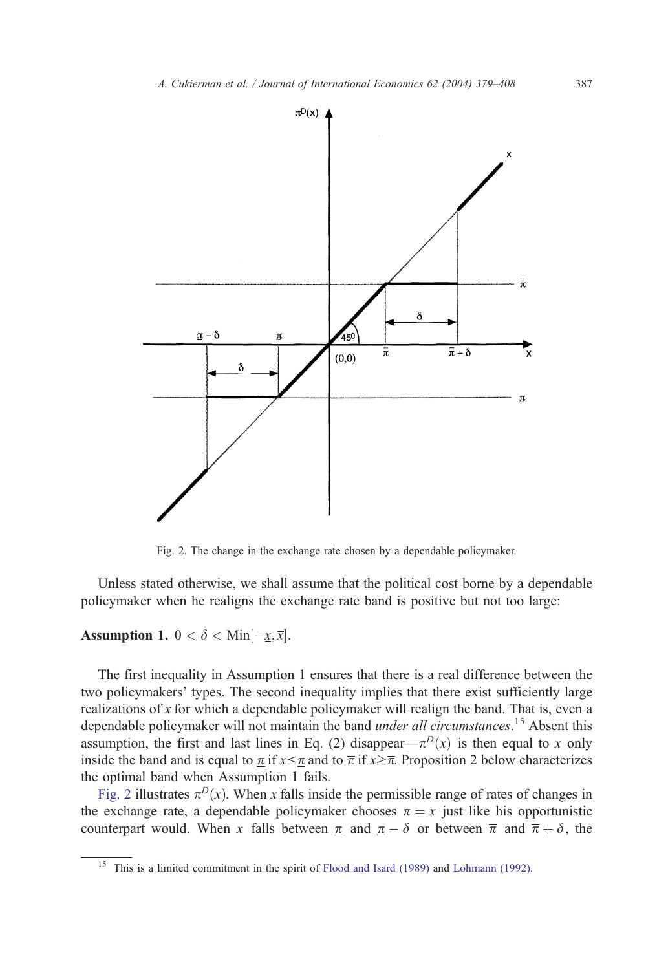

Fig. 2. The change in the exchange rate chosen by a dependable policymaker.

Unless stated otherwise, we shall assume that the political cost borne by a dependable policymaker when he realigns the exchange rate band is positive but not too large:

Assumption 1.  $0 < \delta < \text{Min}[-\underline{x}, \overline{x}].$ 

The first inequality in Assumption 1 ensures that there is a real difference between the two policymakers' types. The second inequality implies that there exist sufficiently large realizations of x for which a dependable policymaker will realign the band. That is, even a dependable policymaker will not maintain the band *under all circumstances*.<sup>15</sup> Absent this assumption, the first and last lines in Eq. (2) disappear— $\pi^{D}(x)$  is then equal to x only inside the band and is equal to  $\pi$  if  $x \leq \pi$  and to  $\pi$  if  $x \geq \pi$ . Proposition 2 below characterizes the optimal band when Assumption 1 fails.

Fig. 2 illustrates  $\pi^{D}(x)$ . When x falls inside the permissible range of rates of changes in the exchange rate, a dependable policymaker chooses  $\pi = x$  just like his opportunistic counterpart would. When x falls between  $\pi$  and  $\pi - \delta$  or between  $\bar{\pi}$  and  $\bar{\pi} + \delta$ , the

<sup>&</sup>lt;sup>15</sup> This is a limited commitment in the spirit of [Flood and Isard \(1989\)](#page-29-0) and [Lohmann \(1992\).](#page-29-0)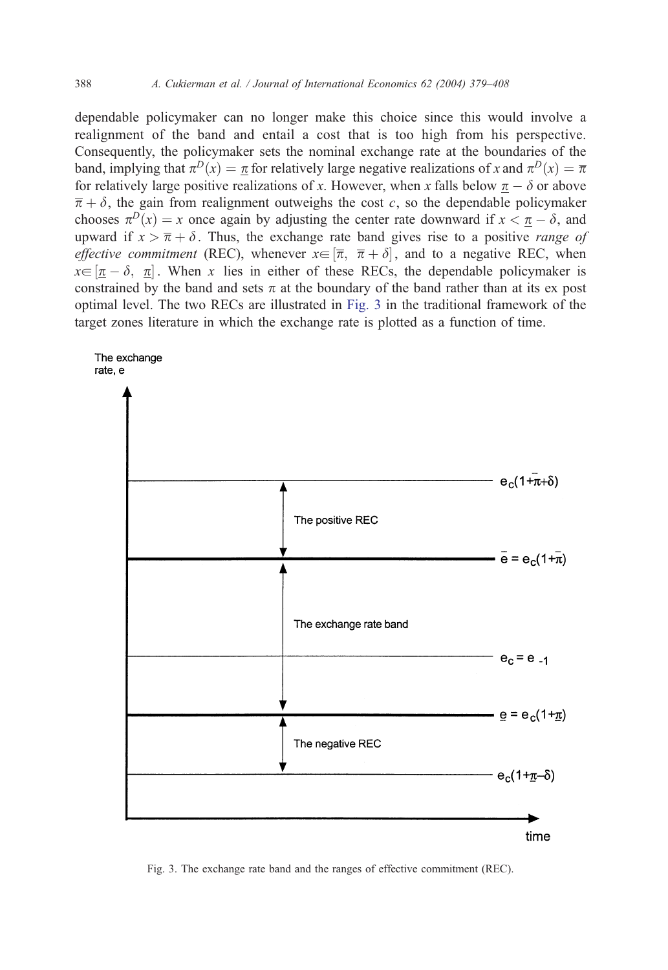dependable policymaker can no longer make this choice since this would involve a realignment of the band and entail a cost that is too high from his perspective. Consequently, the policymaker sets the nominal exchange rate at the boundaries of the band, implying that  $\pi^D(x) = \pi$  for relatively large negative realizations of x and  $\pi^D(x) = \overline{\pi}$ for relatively large positive realizations of x. However, when x falls below  $\pi - \delta$  or above  $\overline{\pi} + \delta$ , the gain from realignment outweighs the cost c, so the dependable policymaker chooses  $\pi^{D}(x) = x$  once again by adjusting the center rate downward if  $x < \pi - \delta$ , and upward if  $x > \overline{\pi} + \delta$ . Thus, the exchange rate band gives rise to a positive *range of* effective commitment (REC), whenever  $x \in [\overline{\pi}, \overline{\pi} + \delta]$ , and to a negative REC, when  $x \in [\underline{\pi} - \delta, \underline{\pi}]$ . When x lies in either of these RECs, the dependable policymaker is constrained by the band and sets  $\pi$  at the boundary of the band rather than at its ex post optimal level. The two RECs are illustrated in Fig. 3 in the traditional framework of the target zones literature in which the exchange rate is plotted as a function of time.



Fig. 3. The exchange rate band and the ranges of effective commitment (REC).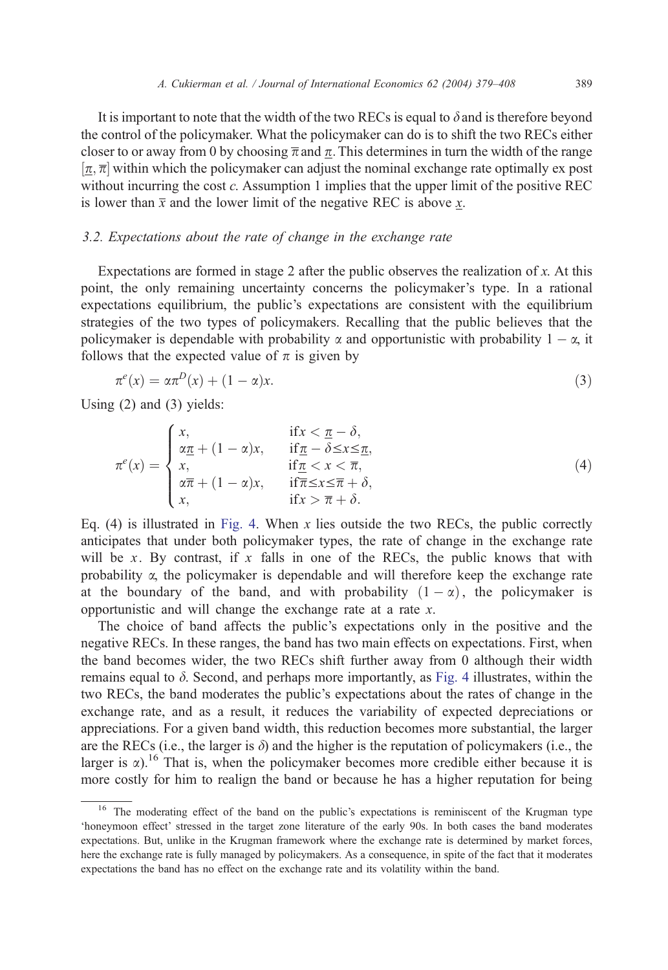It is important to note that the width of the two RECs is equal to  $\delta$  and is therefore beyond the control of the policymaker. What the policymaker can do is to shift the two RECs either closer to or away from 0 by choosing  $\overline{\pi}$  and  $\underline{\pi}$ . This determines in turn the width of the range  $[\underline{\pi}, \overline{\pi}]$  within which the policymaker can adjust the nominal exchange rate optimally ex post without incurring the cost c. Assumption 1 implies that the upper limit of the positive REC is lower than  $\bar{x}$  and the lower limit of the negative REC is above x.

# 3.2. Expectations about the rate of change in the exchange rate

Expectations are formed in stage 2 after the public observes the realization of  $x$ . At this point, the only remaining uncertainty concerns the policymaker's type. In a rational expectations equilibrium, the public's expectations are consistent with the equilibrium strategies of the two types of policymakers. Recalling that the public believes that the policymaker is dependable with probability  $\alpha$  and opportunistic with probability  $1 - \alpha$ , it follows that the expected value of  $\pi$  is given by

$$
\pi^e(x) = \alpha \pi^D(x) + (1 - \alpha)x. \tag{3}
$$

Using (2) and (3) yields:

$$
\pi^{e}(x) = \begin{cases}\nx, & \text{if } x < \underline{\pi} - \delta, \\
\alpha \underline{\pi} + (1 - \alpha)x, & \text{if } \underline{\pi} - \delta \leq x \leq \underline{\pi}, \\
x, & \text{if } \underline{\pi} < x < \overline{\pi}, \\
\alpha \overline{\pi} + (1 - \alpha)x, & \text{if } \overline{\pi} \leq x \leq \overline{\pi} + \delta, \\
x, & \text{if } x > \overline{\pi} + \delta.\n\end{cases}
$$
\n(4)

Eq.  $(4)$  is illustrated in [Fig. 4.](#page-11-0) When x lies outside the two RECs, the public correctly anticipates that under both policymaker types, the rate of change in the exchange rate will be x. By contrast, if x falls in one of the RECs, the public knows that with probability  $\alpha$ , the policymaker is dependable and will therefore keep the exchange rate at the boundary of the band, and with probability  $(1 - \alpha)$ , the policymaker is opportunistic and will change the exchange rate at a rate x.

The choice of band affects the public's expectations only in the positive and the negative RECs. In these ranges, the band has two main effects on expectations. First, when the band becomes wider, the two RECs shift further away from 0 although their width remains equal to  $\delta$ . Second, and perhaps more importantly, as [Fig. 4](#page-11-0) illustrates, within the two RECs, the band moderates the public's expectations about the rates of change in the exchange rate, and as a result, it reduces the variability of expected depreciations or appreciations. For a given band width, this reduction becomes more substantial, the larger are the RECs (i.e., the larger is  $\delta$ ) and the higher is the reputation of policymakers (i.e., the larger is  $\alpha$ ).<sup>16</sup> That is, when the policymaker becomes more credible either because it is more costly for him to realign the band or because he has a higher reputation for being

<sup>&</sup>lt;sup>16</sup> The moderating effect of the band on the public's expectations is reminiscent of the Krugman type 'honeymoon effect' stressed in the target zone literature of the early 90s. In both cases the band moderates expectations. But, unlike in the Krugman framework where the exchange rate is determined by market forces, here the exchange rate is fully managed by policymakers. As a consequence, in spite of the fact that it moderates expectations the band has no effect on the exchange rate and its volatility within the band.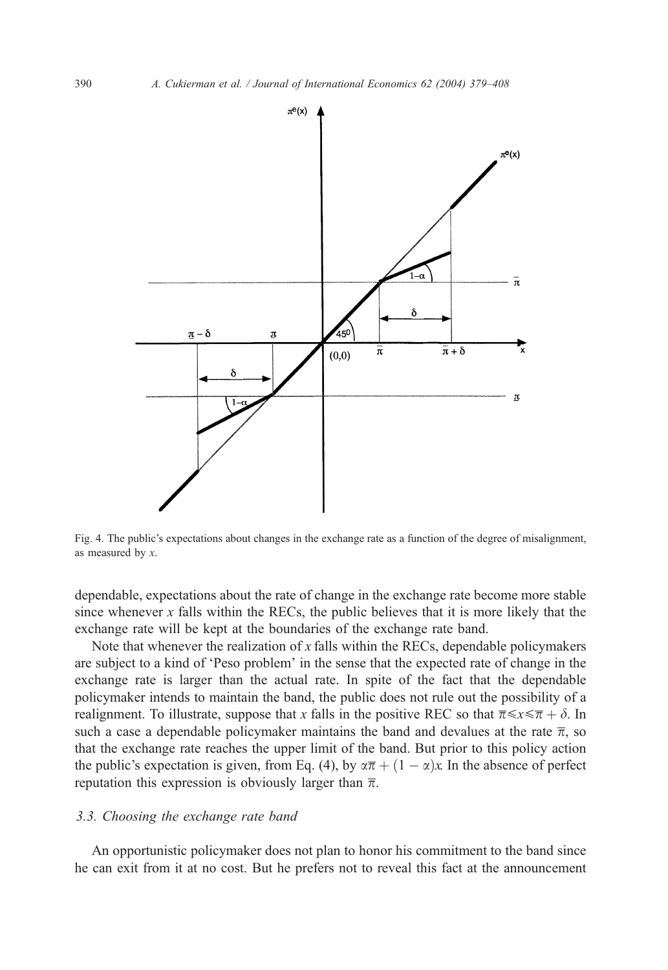<span id="page-11-0"></span>

Fig. 4. The public's expectations about changes in the exchange rate as a function of the degree of misalignment, as measured by x.

dependable, expectations about the rate of change in the exchange rate become more stable since whenever  $x$  falls within the RECs, the public believes that it is more likely that the exchange rate will be kept at the boundaries of the exchange rate band.

Note that whenever the realization of  $x$  falls within the RECs, dependable policymakers are subject to a kind of 'Peso problem' in the sense that the expected rate of change in the exchange rate is larger than the actual rate. In spite of the fact that the dependable policymaker intends to maintain the band, the public does not rule out the possibility of a realignment. To illustrate, suppose that x falls in the positive REC so that  $\overline{\pi}\le x \le \overline{\pi} + \delta$ . In such a case a dependable policymaker maintains the band and devalues at the rate  $\bar{\pi}$ , so that the exchange rate reaches the upper limit of the band. But prior to this policy action the public's expectation is given, from Eq. (4), by  $\alpha \overline{\pi} + (1 - \alpha)x$ . In the absence of perfect reputation this expression is obviously larger than  $\overline{\pi}$ .

#### 3.3. Choosing the exchange rate band

An opportunistic policymaker does not plan to honor his commitment to the band since he can exit from it at no cost. But he prefers not to reveal this fact at the announcement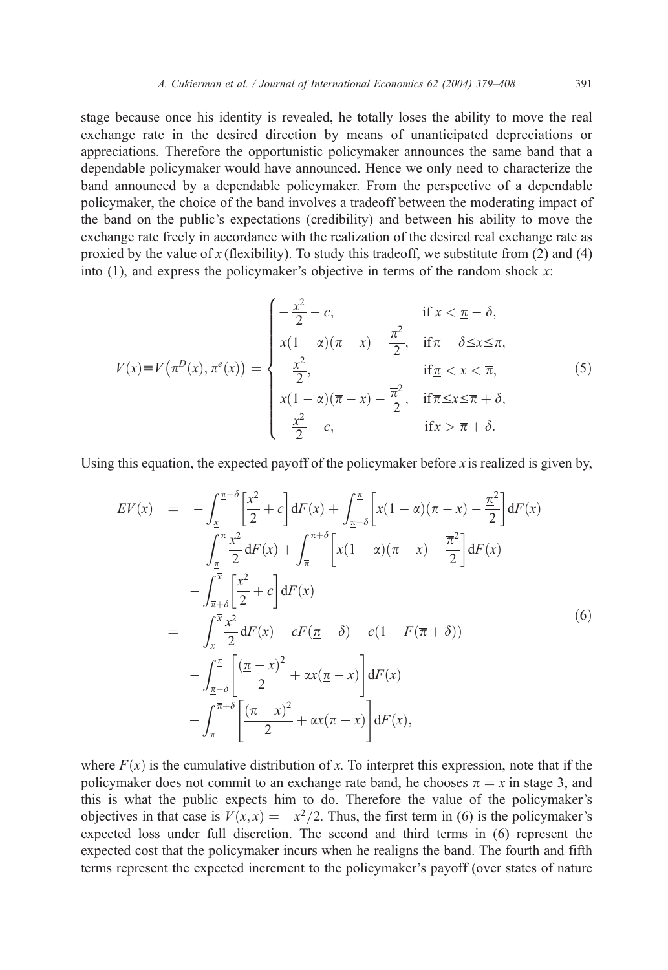stage because once his identity is revealed, he totally loses the ability to move the real exchange rate in the desired direction by means of unanticipated depreciations or appreciations. Therefore the opportunistic policymaker announces the same band that a dependable policymaker would have announced. Hence we only need to characterize the band announced by a dependable policymaker. From the perspective of a dependable policymaker, the choice of the band involves a tradeoff between the moderating impact of the band on the public's expectations (credibility) and between his ability to move the exchange rate freely in accordance with the realization of the desired real exchange rate as proxied by the value of x (flexibility). To study this tradeoff, we substitute from  $(2)$  and  $(4)$ into  $(1)$ , and express the policymaker's objective in terms of the random shock x:

$$
V(x) \equiv V(\pi^{D}(x), \pi^{e}(x)) = \begin{cases} -\frac{x^{2}}{2} - c, & \text{if } x < \underline{\pi} - \delta, \\ x(1 - \alpha)(\underline{\pi} - x) - \frac{\underline{\pi}^{2}}{2}, & \text{if } \underline{\pi} - \delta \leq x \leq \underline{\pi}, \\ -\frac{x^{2}}{2}, & \text{if } \underline{\pi} < x < \overline{\pi}, \\ x(1 - \alpha)(\overline{\pi} - x) - \frac{\overline{\pi}^{2}}{2}, & \text{if } \overline{\pi} \leq x \leq \overline{\pi} + \delta, \\ -\frac{x^{2}}{2} - c, & \text{if } x > \overline{\pi} + \delta. \end{cases}
$$
(5)

Using this equation, the expected payoff of the policymaker before  $x$  is realized is given by,

$$
EV(x) = -\int_{\frac{x}{2}}^{\frac{\pi}{2}-\delta} \left[ \frac{x^2}{2} + c \right] dF(x) + \int_{\frac{\pi}{2}-\delta}^{\frac{\pi}{2}} \left[ x(1-\alpha)(\frac{\pi}{2}-x) - \frac{\pi^2}{2} \right] dF(x) - \int_{\frac{\pi}{2}}^{\frac{\pi}{2}} \frac{x^2}{2} dF(x) + \int_{\frac{\pi}{2}}^{\frac{\pi}{2}+\delta} \left[ x(1-\alpha)(\pi-x) - \frac{\pi^2}{2} \right] dF(x) - \int_{\frac{\pi}{2}+\delta}^{\frac{\pi}{2}} \left[ \frac{x^2}{2} + c \right] dF(x) = -\int_{\frac{x}{2}}^{\frac{\pi}{2}} \frac{x^2}{2} dF(x) - cF(\frac{\pi}{2}-\delta) - c(1 - F(\pi+\delta)) - \int_{\frac{\pi}{2}-\delta}^{\frac{\pi}{2}} \left[ \frac{(\frac{\pi}{2}-x)^2}{2} + \alpha x(\frac{\pi}{2}-x) \right] dF(x) - \int_{\frac{\pi}{2}}^{\frac{\pi}{2}+\delta} \left[ \frac{(\pi-x)^2}{2} + \alpha x(\pi-x) \right] dF(x), \qquad (6)
$$

where  $F(x)$  is the cumulative distribution of x. To interpret this expression, note that if the policymaker does not commit to an exchange rate band, he chooses  $\pi = x$  in stage 3, and this is what the public expects him to do. Therefore the value of the policymaker's objectives in that case is  $V(x, x) = -x^2/2$ . Thus, the first term in (6) is the policymaker's expected loss under full discretion. The second and third terms in (6) represent the expected cost that the policymaker incurs when he realigns the band. The fourth and fifth terms represent the expected increment to the policymaker's payoff (over states of nature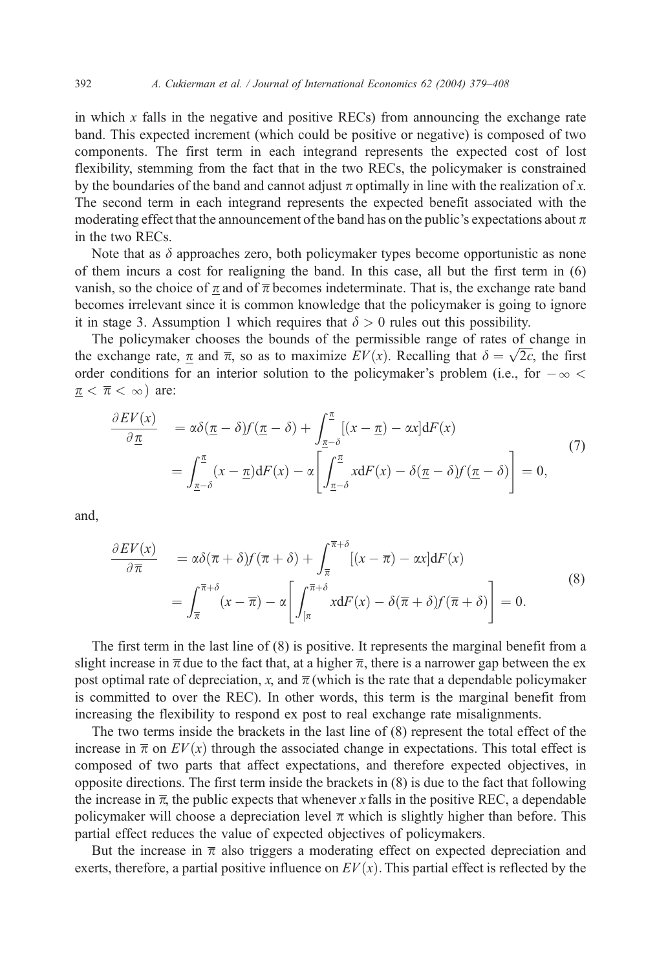in which  $x$  falls in the negative and positive RECs) from announcing the exchange rate band. This expected increment (which could be positive or negative) is composed of two components. The first term in each integrand represents the expected cost of lost flexibility, stemming from the fact that in the two RECs, the policymaker is constrained by the boundaries of the band and cannot adjust  $\pi$  optimally in line with the realization of x. The second term in each integrand represents the expected benefit associated with the moderating effect that the announcement of the band has on the public's expectations about  $\pi$ in the two RECs.

Note that as  $\delta$  approaches zero, both policymaker types become opportunistic as none of them incurs a cost for realigning the band. In this case, all but the first term in (6) vanish, so the choice of  $\pi$  and of  $\overline{\pi}$  becomes indeterminate. That is, the exchange rate band becomes irrelevant since it is common knowledge that the policymaker is going to ignore it in stage 3. Assumption 1 which requires that  $\delta > 0$  rules out this possibility.

The policymaker chooses the bounds of the permissible range of rates of change in The policymaker chooses the bounds of the permissible range of rates of change in<br>the exchange rate,  $\pi$  and  $\bar{\pi}$ , so as to maximize  $EV(x)$ . Recalling that  $\delta = \sqrt{2c}$ , the first order conditions for an interior solution to the policymaker's problem (i.e., for  $-\infty$  <  $\pi < \overline{\pi} < \infty$ ) are:

$$
\frac{\partial EV(x)}{\partial \underline{\pi}} = \alpha \delta(\underline{\pi} - \delta) f(\underline{\pi} - \delta) + \int_{\underline{\pi} - \delta}^{\underline{\pi}} [(x - \underline{\pi}) - \alpha x] dF(x)
$$
\n
$$
= \int_{\underline{\pi} - \delta}^{\underline{\pi}} (x - \underline{\pi}) dF(x) - \alpha \left[ \int_{\underline{\pi} - \delta}^{\underline{\pi}} x dF(x) - \delta(\underline{\pi} - \delta) f(\underline{\pi} - \delta) \right] = 0,
$$
\n(7)

and,

$$
\frac{\partial EV(x)}{\partial \overline{x}} = \alpha \delta(\overline{x} + \delta) f(\overline{x} + \delta) + \int_{\overline{x}}^{\overline{x} + \delta} [(x - \overline{x}) - \alpha x] dF(x)
$$
\n
$$
= \int_{\overline{x}}^{\overline{x} + \delta} (x - \overline{x}) - \alpha \left[ \int_{[\pi]}^{\overline{x} + \delta} x dF(x) - \delta(\overline{x} + \delta) f(\overline{x} + \delta) \right] = 0.
$$
\n(8)

The first term in the last line of (8) is positive. It represents the marginal benefit from a slight increase in  $\bar{\pi}$  due to the fact that, at a higher  $\bar{\pi}$ , there is a narrower gap between the ex post optimal rate of depreciation, x, and  $\bar{\pi}$  (which is the rate that a dependable policymaker is committed to over the REC). In other words, this term is the marginal benefit from increasing the flexibility to respond ex post to real exchange rate misalignments.

The two terms inside the brackets in the last line of (8) represent the total effect of the increase in  $\bar{\pi}$  on  $EV(x)$  through the associated change in expectations. This total effect is composed of two parts that affect expectations, and therefore expected objectives, in opposite directions. The first term inside the brackets in (8) is due to the fact that following the increase in  $\overline{\pi}$ , the public expects that whenever x falls in the positive REC, a dependable policymaker will choose a depreciation level  $\bar{\pi}$  which is slightly higher than before. This partial effect reduces the value of expected objectives of policymakers.

But the increase in  $\bar{\pi}$  also triggers a moderating effect on expected depreciation and exerts, therefore, a partial positive influence on  $EV(x)$ . This partial effect is reflected by the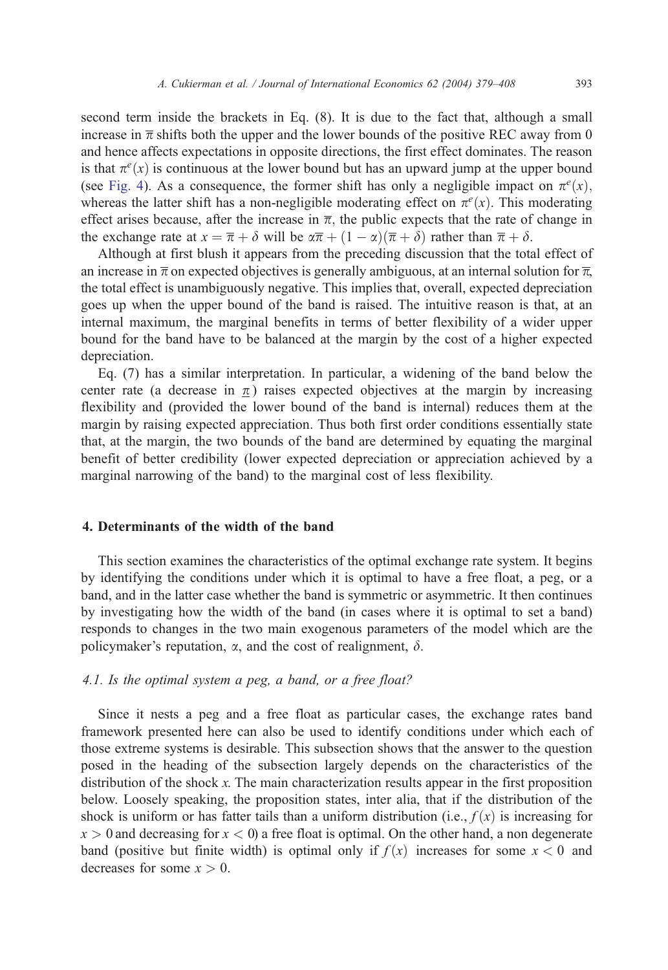second term inside the brackets in Eq. (8). It is due to the fact that, although a small increase in  $\bar{\pi}$  shifts both the upper and the lower bounds of the positive REC away from 0 and hence affects expectations in opposite directions, the first effect dominates. The reason is that  $\pi^e(x)$  is continuous at the lower bound but has an upward jump at the upper bound (see [Fig. 4\)](#page-11-0). As a consequence, the former shift has only a negligible impact on  $\pi^e(x)$ , whereas the latter shift has a non-negligible moderating effect on  $\pi^e(x)$ . This moderating effect arises because, after the increase in  $\overline{\pi}$ , the public expects that the rate of change in the exchange rate at  $x = \overline{\pi} + \delta$  will be  $\alpha \overline{\pi} + (1 - \alpha)(\overline{\pi} + \delta)$  rather than  $\overline{\pi} + \delta$ .

Although at first blush it appears from the preceding discussion that the total effect of an increase in  $\overline{\pi}$  on expected objectives is generally ambiguous, at an internal solution for  $\overline{\pi}$ , the total effect is unambiguously negative. This implies that, overall, expected depreciation goes up when the upper bound of the band is raised. The intuitive reason is that, at an internal maximum, the marginal benefits in terms of better flexibility of a wider upper bound for the band have to be balanced at the margin by the cost of a higher expected depreciation.

Eq. (7) has a similar interpretation. In particular, a widening of the band below the center rate (a decrease in  $\pi$ ) raises expected objectives at the margin by increasing flexibility and (provided the lower bound of the band is internal) reduces them at the margin by raising expected appreciation. Thus both first order conditions essentially state that, at the margin, the two bounds of the band are determined by equating the marginal benefit of better credibility (lower expected depreciation or appreciation achieved by a marginal narrowing of the band) to the marginal cost of less flexibility.

#### 4. Determinants of the width of the band

This section examines the characteristics of the optimal exchange rate system. It begins by identifying the conditions under which it is optimal to have a free float, a peg, or a band, and in the latter case whether the band is symmetric or asymmetric. It then continues by investigating how the width of the band (in cases where it is optimal to set a band) responds to changes in the two main exogenous parameters of the model which are the policymaker's reputation,  $\alpha$ , and the cost of realignment,  $\delta$ .

## 4.1. Is the optimal system a peg, a band, or a free float?

Since it nests a peg and a free float as particular cases, the exchange rates band framework presented here can also be used to identify conditions under which each of those extreme systems is desirable. This subsection shows that the answer to the question posed in the heading of the subsection largely depends on the characteristics of the distribution of the shock x. The main characterization results appear in the first proposition below. Loosely speaking, the proposition states, inter alia, that if the distribution of the shock is uniform or has fatter tails than a uniform distribution (i.e.,  $f(x)$  is increasing for  $x > 0$  and decreasing for  $x < 0$ ) a free float is optimal. On the other hand, a non degenerate band (positive but finite width) is optimal only if  $f(x)$  increases for some  $x < 0$  and decreases for some  $x > 0$ .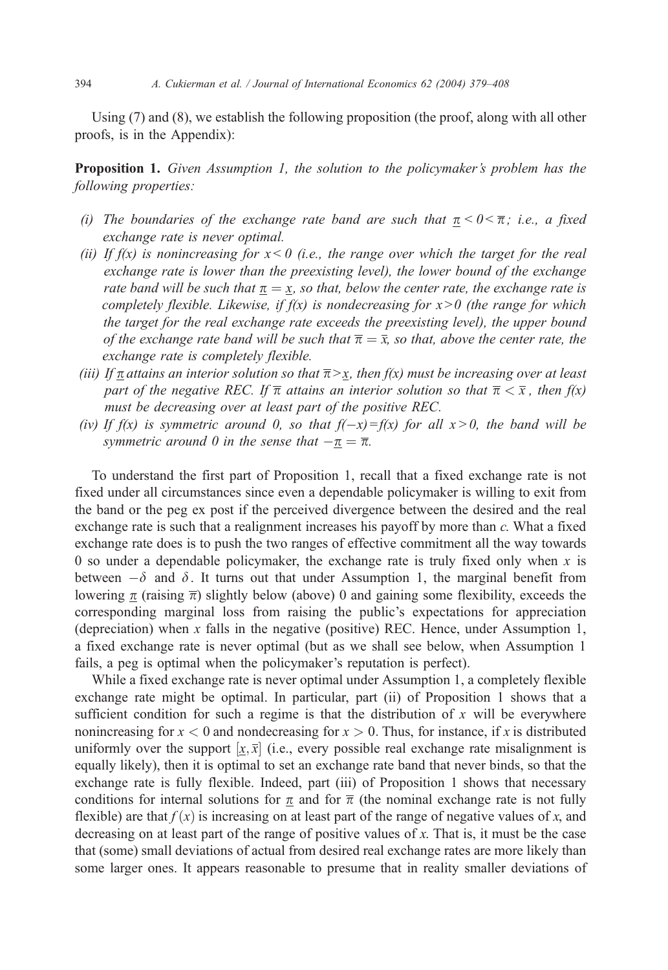Using (7) and (8), we establish the following proposition (the proof, along with all other proofs, is in the Appendix):

Proposition 1. Given Assumption 1, the solution to the policymaker's problem has the following properties:

- (i) The boundaries of the exchange rate band are such that  $\pi < 0 < \overline{\pi}$ ; i.e., a fixed exchange rate is never optimal.
- (ii) If  $f(x)$  is nonincreasing for  $x < 0$  (i.e., the range over which the target for the real exchange rate is lower than the preexisting level), the lower bound of the exchange rate band will be such that  $\pi = x$ , so that, below the center rate, the exchange rate is completely flexible. Likewise, if  $f(x)$  is nondecreasing for  $x > 0$  (the range for which the target for the real exchange rate exceeds the preexisting level), the upper bound of the exchange rate band will be such that  $\overline{\pi} = \overline{x}$ , so that, above the center rate, the exchange rate is completely flexible.
- (iii) If  $\pi$  attains an interior solution so that  $\overline{\pi}$  > x, then f(x) must be increasing over at least part of the negative REC. If  $\bar{\pi}$  attains an interior solution so that  $\bar{\pi} < \bar{x}$ , then  $f(x)$ must be decreasing over at least part of the positive REC.
- (iv) If  $f(x)$  is symmetric around 0, so that  $f(-x) = f(x)$  for all  $x > 0$ , the band will be symmetric around 0 in the sense that  $-\pi = \overline{\pi}$ .

To understand the first part of Proposition 1, recall that a fixed exchange rate is not fixed under all circumstances since even a dependable policymaker is willing to exit from the band or the peg ex post if the perceived divergence between the desired and the real exchange rate is such that a realignment increases his payoff by more than c. What a fixed exchange rate does is to push the two ranges of effective commitment all the way towards 0 so under a dependable policymaker, the exchange rate is truly fixed only when  $x$  is between  $-\delta$  and  $\delta$ . It turns out that under Assumption 1, the marginal benefit from lowering  $\pi$  (raising  $\bar{\pi}$ ) slightly below (above) 0 and gaining some flexibility, exceeds the corresponding marginal loss from raising the public's expectations for appreciation (depreciation) when x falls in the negative (positive) REC. Hence, under Assumption 1, a fixed exchange rate is never optimal (but as we shall see below, when Assumption 1 fails, a peg is optimal when the policymaker's reputation is perfect).

While a fixed exchange rate is never optimal under Assumption 1, a completely flexible exchange rate might be optimal. In particular, part (ii) of Proposition 1 shows that a sufficient condition for such a regime is that the distribution of  $x$  will be everywhere nonincreasing for  $x < 0$  and nondecreasing for  $x > 0$ . Thus, for instance, if x is distributed uniformly over the support  $[x,\overline{x}]$  (i.e., every possible real exchange rate misalignment is equally likely), then it is optimal to set an exchange rate band that never binds, so that the exchange rate is fully flexible. Indeed, part (iii) of Proposition 1 shows that necessary conditions for internal solutions for  $\pi$  and for  $\bar{\pi}$  (the nominal exchange rate is not fully flexible) are that  $f(x)$  is increasing on at least part of the range of negative values of x, and decreasing on at least part of the range of positive values of x. That is, it must be the case that (some) small deviations of actual from desired real exchange rates are more likely than some larger ones. It appears reasonable to presume that in reality smaller deviations of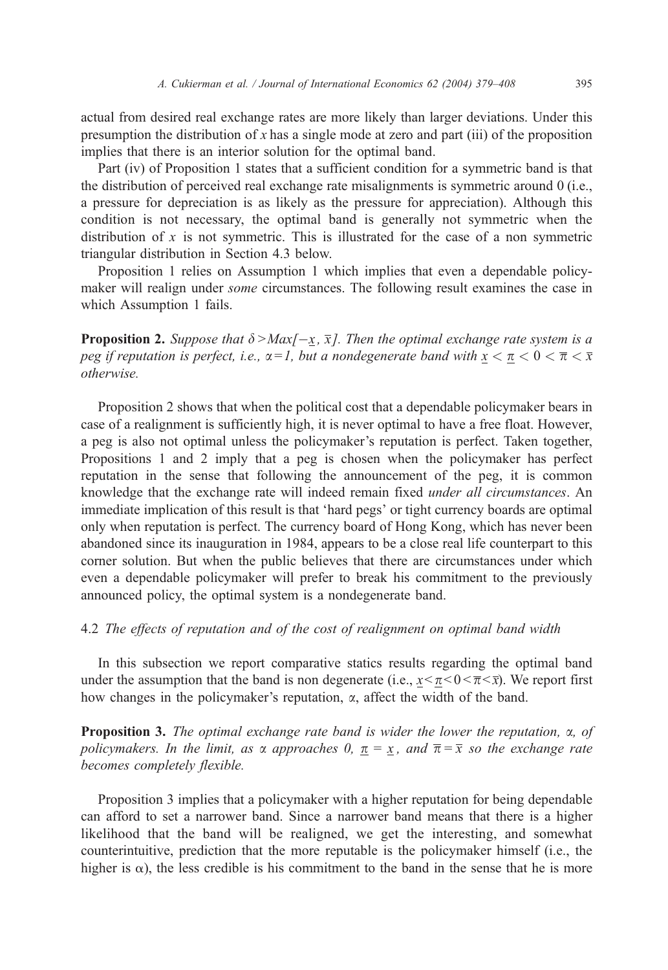actual from desired real exchange rates are more likely than larger deviations. Under this presumption the distribution of x has a single mode at zero and part (iii) of the proposition implies that there is an interior solution for the optimal band.

Part (iv) of Proposition 1 states that a sufficient condition for a symmetric band is that the distribution of perceived real exchange rate misalignments is symmetric around 0 (i.e., a pressure for depreciation is as likely as the pressure for appreciation). Although this condition is not necessary, the optimal band is generally not symmetric when the distribution of  $x$  is not symmetric. This is illustrated for the case of a non symmetric triangular distribution in Section 4.3 below.

Proposition 1 relies on Assumption 1 which implies that even a dependable policymaker will realign under *some* circumstances. The following result examines the case in which Assumption 1 fails.

**Proposition 2.** Suppose that  $\delta > Max[-x, \bar{x}]$ . Then the optimal exchange rate system is a peg if reputation is perfect, i.e.,  $\alpha=1$ , but a nondegenerate band with  $x < \pi < 0 < \overline{\pi} < \overline{x}$ otherwise.

Proposition 2 shows that when the political cost that a dependable policymaker bears in case of a realignment is sufficiently high, it is never optimal to have a free float. However, a peg is also not optimal unless the policymaker's reputation is perfect. Taken together, Propositions 1 and 2 imply that a peg is chosen when the policymaker has perfect reputation in the sense that following the announcement of the peg, it is common knowledge that the exchange rate will indeed remain fixed under all circumstances. An immediate implication of this result is that 'hard pegs' or tight currency boards are optimal only when reputation is perfect. The currency board of Hong Kong, which has never been abandoned since its inauguration in 1984, appears to be a close real life counterpart to this corner solution. But when the public believes that there are circumstances under which even a dependable policymaker will prefer to break his commitment to the previously announced policy, the optimal system is a nondegenerate band.

#### 4.2 The effects of reputation and of the cost of realignment on optimal band width

In this subsection we report comparative statics results regarding the optimal band under the assumption that the band is non degenerate (i.e.,  $x \leq \underline{\pi} \leq 0 \leq \overline{\pi} \leq \overline{x}$ ). We report first how changes in the policymaker's reputation,  $\alpha$ , affect the width of the band.

**Proposition 3.** The optimal exchange rate band is wider the lower the reputation,  $\alpha$ , of policymakers. In the limit, as  $\alpha$  approaches 0,  $\pi = x$ , and  $\bar{\pi} = \bar{x}$  so the exchange rate becomes completely flexible.

Proposition 3 implies that a policymaker with a higher reputation for being dependable can afford to set a narrower band. Since a narrower band means that there is a higher likelihood that the band will be realigned, we get the interesting, and somewhat counterintuitive, prediction that the more reputable is the policymaker himself (i.e., the higher is  $\alpha$ ), the less credible is his commitment to the band in the sense that he is more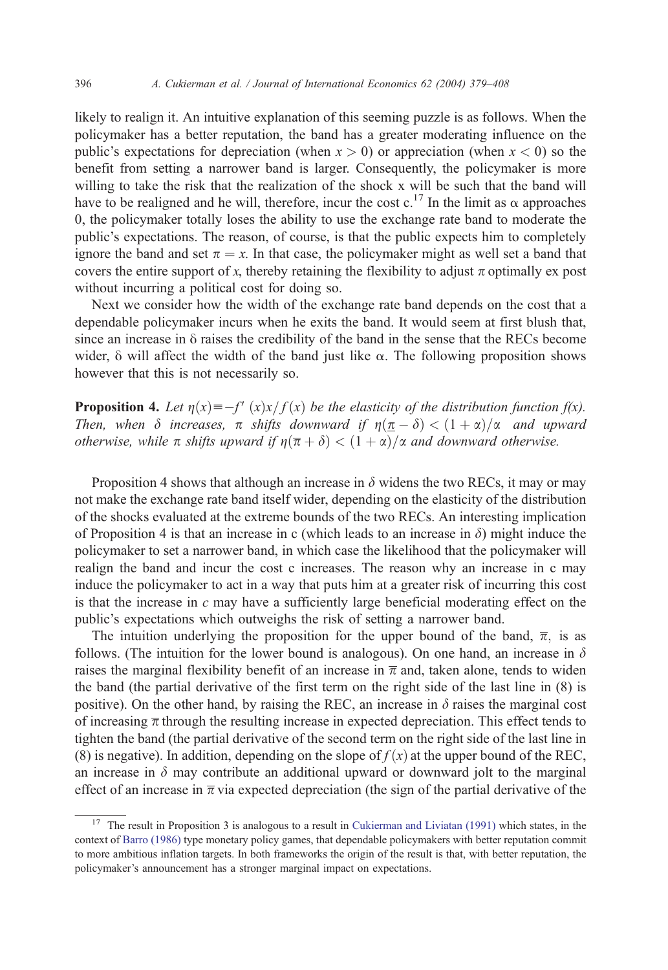likely to realign it. An intuitive explanation of this seeming puzzle is as follows. When the policymaker has a better reputation, the band has a greater moderating influence on the public's expectations for depreciation (when  $x > 0$ ) or appreciation (when  $x < 0$ ) so the benefit from setting a narrower band is larger. Consequently, the policymaker is more willing to take the risk that the realization of the shock x will be such that the band will have to be realigned and he will, therefore, incur the cost  $c^{17}$ . In the limit as  $\alpha$  approaches 0, the policymaker totally loses the ability to use the exchange rate band to moderate the public's expectations. The reason, of course, is that the public expects him to completely ignore the band and set  $\pi = x$ . In that case, the policymaker might as well set a band that covers the entire support of x, thereby retaining the flexibility to adjust  $\pi$  optimally ex post without incurring a political cost for doing so.

Next we consider how the width of the exchange rate band depends on the cost that a dependable policymaker incurs when he exits the band. It would seem at first blush that, since an increase in  $\delta$  raises the credibility of the band in the sense that the RECs become wider,  $\delta$  will affect the width of the band just like  $\alpha$ . The following proposition shows however that this is not necessarily so.

**Proposition 4.** Let  $\eta(x) \equiv -f'(x)x/f(x)$  be the elasticity of the distribution function f(x). Then, when  $\delta$  increases,  $\pi$  shifts downward if  $\eta(\underline{\pi}-\delta) < (1+\alpha)/\alpha$  and upward otherwise, while  $\pi$  shifts upward if  $\eta(\overline{\pi} + \delta) < (1 + \alpha)/\alpha$  and downward otherwise.

Proposition 4 shows that although an increase in  $\delta$  widens the two RECs, it may or may not make the exchange rate band itself wider, depending on the elasticity of the distribution of the shocks evaluated at the extreme bounds of the two RECs. An interesting implication of Proposition 4 is that an increase in c (which leads to an increase in  $\delta$ ) might induce the policymaker to set a narrower band, in which case the likelihood that the policymaker will realign the band and incur the cost c increases. The reason why an increase in c may induce the policymaker to act in a way that puts him at a greater risk of incurring this cost is that the increase in  $c$  may have a sufficiently large beneficial moderating effect on the public's expectations which outweighs the risk of setting a narrower band.

The intuition underlying the proposition for the upper bound of the band,  $\overline{\pi}$ , is as follows. (The intuition for the lower bound is analogous). On one hand, an increase in  $\delta$ raises the marginal flexibility benefit of an increase in  $\bar{\pi}$  and, taken alone, tends to widen the band (the partial derivative of the first term on the right side of the last line in (8) is positive). On the other hand, by raising the REC, an increase in  $\delta$  raises the marginal cost of increasing  $\bar{\pi}$  through the resulting increase in expected depreciation. This effect tends to tighten the band (the partial derivative of the second term on the right side of the last line in (8) is negative). In addition, depending on the slope of  $f(x)$  at the upper bound of the REC, an increase in  $\delta$  may contribute an additional upward or downward jolt to the marginal effect of an increase in  $\bar{\pi}$  via expected depreciation (the sign of the partial derivative of the

<sup>&</sup>lt;sup>17</sup> The result in Proposition 3 is analogous to a result in [Cukierman and Liviatan \(1991\)](#page-28-0) which states, in the context of [Barro \(1986\)](#page-28-0) type monetary policy games, that dependable policymakers with better reputation commit to more ambitious inflation targets. In both frameworks the origin of the result is that, with better reputation, the policymaker's announcement has a stronger marginal impact on expectations.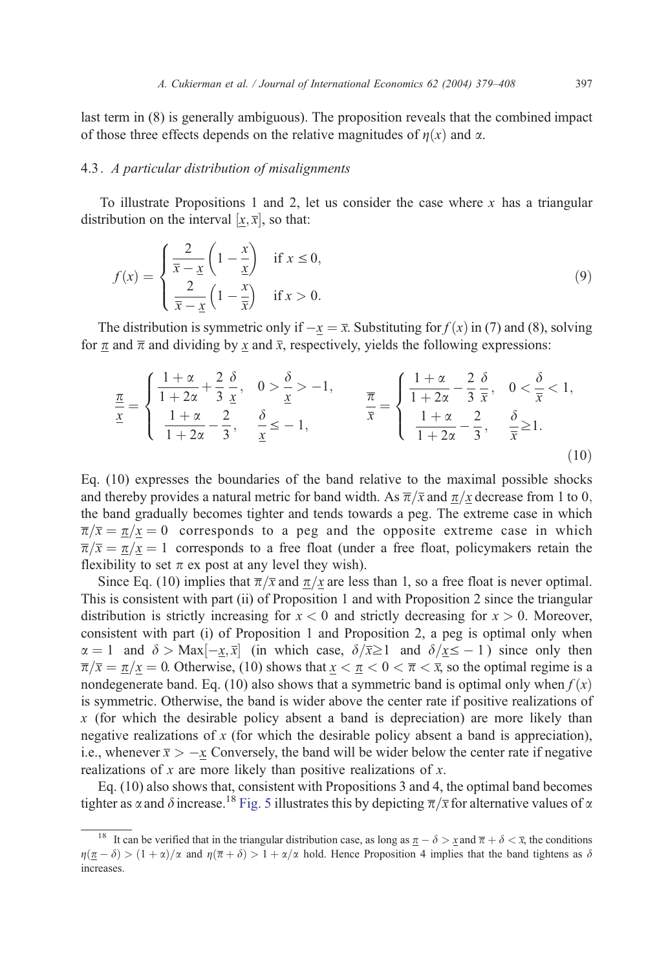last term in (8) is generally ambiguous). The proposition reveals that the combined impact of those three effects depends on the relative magnitudes of  $\eta(x)$  and  $\alpha$ .

## 4.3. A particular distribution of misalignments

To illustrate Propositions 1 and 2, let us consider the case where  $x$  has a triangular distribution on the interval  $[x, \overline{x}]$ , so that:

$$
f(x) = \begin{cases} \frac{2}{\overline{x} - \underline{x}} \left( 1 - \frac{x}{\underline{x}} \right) & \text{if } x \le 0, \\ \frac{2}{\overline{x} - \underline{x}} \left( 1 - \frac{x}{\overline{x}} \right) & \text{if } x > 0. \end{cases}
$$
(9)

The distribution is symmetric only if  $-x = \overline{x}$ . Substituting for  $f(x)$  in (7) and (8), solving for  $\pi$  and  $\bar{\pi}$  and dividing by x and  $\bar{x}$ , respectively, yields the following expressions:

$$
\frac{\underline{\pi}}{\underline{x}} = \begin{cases}\n\frac{1+\alpha}{1+2\alpha} + \frac{2}{3} \frac{\delta}{\underline{x}}, & 0 > \frac{\delta}{\underline{x}} > -1, \\
\frac{1+\alpha}{1+2\alpha} - \frac{2}{3}, & \frac{\delta}{\underline{x}} \le -1, \\
\frac{1+\alpha}{1+2\alpha} - \frac{2}{3}, & \frac{\delta}{\underline{x}} \le -1,\n\end{cases}\n\qquad\n\frac{\overline{\pi}}{\overline{x}} = \begin{cases}\n\frac{1+\alpha}{1+2\alpha} - \frac{2}{3} \frac{\delta}{\underline{x}}, & 0 < \frac{\delta}{\overline{x}} < 1, \\
\frac{1+\alpha}{1+2\alpha} - \frac{2}{3}, & \frac{\delta}{\overline{x}} \ge 1.\n\end{cases}\n\tag{10}
$$

Eq. (10) expresses the boundaries of the band relative to the maximal possible shocks and thereby provides a natural metric for band width. As  $\overline{\pi}/\overline{x}$  and  $\pi/x$  decrease from 1 to 0, the band gradually becomes tighter and tends towards a peg. The extreme case in which  $\overline{\pi}/\overline{x} = \underline{\pi}/\underline{x} = 0$  corresponds to a peg and the opposite extreme case in which  $\overline{\pi}/\overline{x} = \frac{\pi}{x} = 1$  corresponds to a free float (under a free float, policymakers retain the flexibility to set  $\pi$  ex post at any level they wish).

Since Eq. (10) implies that  $\overline{\pi}/\overline{x}$  and  $\pi/x$  are less than 1, so a free float is never optimal. This is consistent with part (ii) of Proposition 1 and with Proposition 2 since the triangular distribution is strictly increasing for  $x < 0$  and strictly decreasing for  $x > 0$ . Moreover, consistent with part (i) of Proposition 1 and Proposition 2, a peg is optimal only when  $\alpha = 1$  and  $\delta > \text{Max}[-\underline{x}, \overline{x}]$  (in which case,  $\delta/\overline{x} \geq 1$  and  $\delta/x \leq -1$ ) since only then  $\overline{\pi}/\overline{x} = \frac{\pi}{x} = 0$ . Otherwise, (10) shows that  $x < \pi < 0 < \overline{\pi} < \overline{x}$ , so the optimal regime is a nondegenerate band. Eq. (10) also shows that a symmetric band is optimal only when  $f(x)$ is symmetric. Otherwise, the band is wider above the center rate if positive realizations of  $x$  (for which the desirable policy absent a band is depreciation) are more likely than negative realizations of x (for which the desirable policy absent a band is appreciation), i.e., whenever  $\bar{x} > -x$  Conversely, the band will be wider below the center rate if negative realizations of  $x$  are more likely than positive realizations of  $x$ .

Eq. (10) also shows that, consistent with Propositions 3 and 4, the optimal band becomes tighter as  $\alpha$  and  $\delta$  increase.<sup>18</sup> [Fig. 5](#page-19-0) illustrates this by depicting  $\overline{\pi}/\overline{x}$  for alternative values of  $\alpha$ 

<sup>&</sup>lt;sup>18</sup> It can be verified that in the triangular distribution case, as long as  $\frac{\pi}{4} - \delta > \frac{x}{4}$  and  $\frac{\pi}{4} + \delta < \frac{\pi}{4}$ , the conditions  $\eta(\overline{\alpha} - \delta) > (1 + \alpha)/\alpha$  and  $\eta(\overline{\pi} + \delta) > 1 + \alpha/\alpha$  hold. Hence Proposition 4 implies that the band tightens as  $\delta$ increases.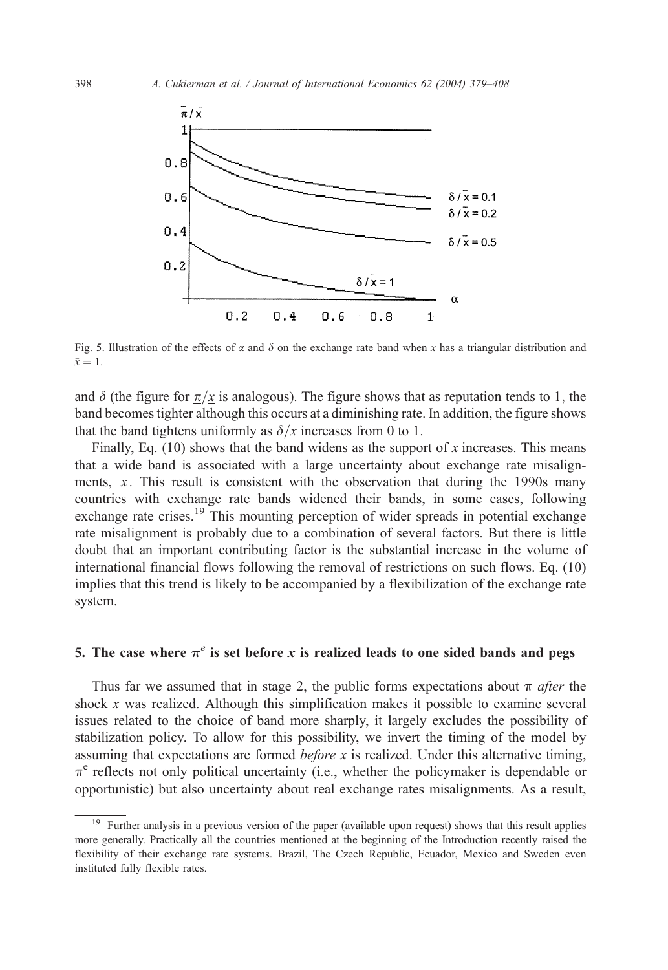<span id="page-19-0"></span>

Fig. 5. Illustration of the effects of  $\alpha$  and  $\delta$  on the exchange rate band when x has a triangular distribution and  $\bar{x}=1$ .

and  $\delta$  (the figure for  $\pi/x$  is analogous). The figure shows that as reputation tends to 1, the band becomes tighter although this occurs at a diminishing rate. In addition, the figure shows that the band tightens uniformly as  $\delta/\bar{x}$  increases from 0 to 1.

Finally, Eq.  $(10)$  shows that the band widens as the support of x increases. This means that a wide band is associated with a large uncertainty about exchange rate misalignments,  $x$ . This result is consistent with the observation that during the 1990s many countries with exchange rate bands widened their bands, in some cases, following exchange rate crises.<sup>19</sup> This mounting perception of wider spreads in potential exchange rate misalignment is probably due to a combination of several factors. But there is little doubt that an important contributing factor is the substantial increase in the volume of international financial flows following the removal of restrictions on such flows. Eq. (10) implies that this trend is likely to be accompanied by a flexibilization of the exchange rate system.

# 5. The case where  $\pi^e$  is set before x is realized leads to one sided bands and pegs

Thus far we assumed that in stage 2, the public forms expectations about  $\pi$  after the shock x was realized. Although this simplification makes it possible to examine several issues related to the choice of band more sharply, it largely excludes the possibility of stabilization policy. To allow for this possibility, we invert the timing of the model by assuming that expectations are formed *before x* is realized. Under this alternative timing,  $\pi^e$  reflects not only political uncertainty (i.e., whether the policymaker is dependable or opportunistic) but also uncertainty about real exchange rates misalignments. As a result,

<sup>&</sup>lt;sup>19</sup> Further analysis in a previous version of the paper (available upon request) shows that this result applies more generally. Practically all the countries mentioned at the beginning of the Introduction recently raised the flexibility of their exchange rate systems. Brazil, The Czech Republic, Ecuador, Mexico and Sweden even instituted fully flexible rates.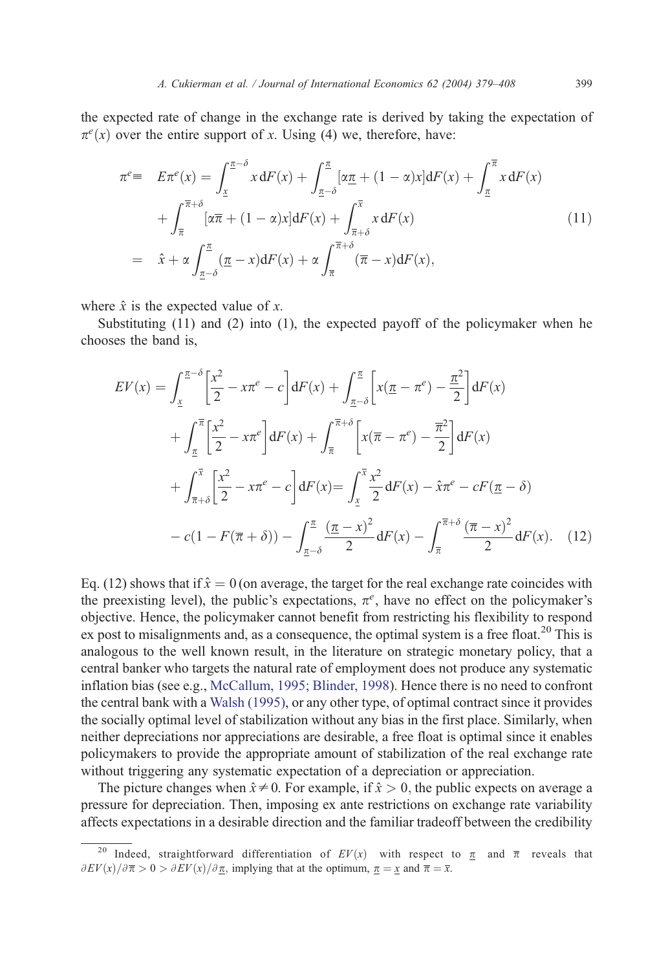the expected rate of change in the exchange rate is derived by taking the expectation of  $\pi^e(x)$  over the entire support of x. Using (4) we, therefore, have:

$$
\pi^{e} = E\pi^{e}(x) = \int_{\underline{x}}^{\underline{\pi}-\delta} x dF(x) + \int_{\underline{\pi}-\delta}^{\underline{\pi}} [\alpha \underline{\pi} + (1-\alpha)x] dF(x) + \int_{\underline{\pi}}^{\overline{\pi}} x dF(x)
$$
  
+ 
$$
\int_{\overline{\pi}}^{\overline{\pi}+\delta} [\alpha \overline{\pi} + (1-\alpha)x] dF(x) + \int_{\overline{\pi}+\delta}^{\overline{\pi}} x dF(x)
$$
  
= 
$$
\hat{x} + \alpha \int_{\underline{\pi}-\delta}^{\underline{\pi}} (\underline{\pi}-x) dF(x) + \alpha \int_{\overline{\pi}}^{\overline{\pi}+\delta} (\overline{\pi}-x) dF(x),
$$
\n(11)

where  $\hat{x}$  is the expected value of x.

Substituting (11) and (2) into (1), the expected payoff of the policymaker when he chooses the band is,

$$
EV(x) = \int_{\frac{x}{2}}^{\frac{\pi}{2}-\delta} \left[ \frac{x^2}{2} - x\pi^e - c \right] dF(x) + \int_{\frac{\pi}{2}-\delta}^{\frac{\pi}{2}} \left[ x(\frac{\pi}{2}-\pi^e) - \frac{\pi^2}{2} \right] dF(x)
$$
  
+ 
$$
\int_{\frac{\pi}{2}}^{\frac{\pi}{2}} \left[ \frac{x^2}{2} - x\pi^e \right] dF(x) + \int_{\frac{\pi}{2}}^{\frac{\pi}{2}+\delta} \left[ x(\pi - \pi^e) - \frac{\pi^2}{2} \right] dF(x)
$$
  
+ 
$$
\int_{\frac{\pi}{2}+\delta}^{\frac{\pi}{2}} \left[ \frac{x^2}{2} - x\pi^e - c \right] dF(x) = \int_{\frac{x}{2}}^{\frac{\pi}{2}} \frac{x^2}{2} dF(x) - \hat{x}\pi^e - cF(\frac{\pi}{2}-\delta)
$$
  
- 
$$
c(1 - F(\pi + \delta)) - \int_{\frac{\pi}{2}-\delta}^{\frac{\pi}{2}} \frac{(\pi - x)^2}{2} dF(x) - \int_{\frac{\pi}{2}}^{\frac{\pi}{2}+\delta} \frac{(\pi - x)^2}{2} dF(x).
$$
 (12)

Eq. (12) shows that if  $\hat{x} = 0$  (on average, the target for the real exchange rate coincides with the preexisting level), the public's expectations,  $\pi^e$ , have no effect on the policymaker's objective. Hence, the policymaker cannot benefit from restricting his flexibility to respond ex post to misalignments and, as a consequence, the optimal system is a free float.<sup>20</sup> This is analogous to the well known result, in the literature on strategic monetary policy, that a central banker who targets the natural rate of employment does not produce any systematic inflation bias (see e.g., [McCallum, 1995; Blinder, 1998\)](#page-29-0). Hence there is no need to confront the central bank with a [Walsh \(1995\),](#page-29-0) or any other type, of optimal contract since it provides the socially optimal level of stabilization without any bias in the first place. Similarly, when neither depreciations nor appreciations are desirable, a free float is optimal since it enables policymakers to provide the appropriate amount of stabilization of the real exchange rate without triggering any systematic expectation of a depreciation or appreciation.

The picture changes when  $\hat{x} \neq 0$ . For example, if  $\hat{x} > 0$ , the public expects on average a pressure for depreciation. Then, imposing ex ante restrictions on exchange rate variability affects expectations in a desirable direction and the familiar tradeoff between the credibility

<sup>&</sup>lt;sup>20</sup> Indeed, straightforward differentiation of  $EV(x)$  with respect to  $\pi$  and  $\bar{\pi}$  reveals that  $\partial E V(x)/\partial \overline{x} > 0 > \partial E V(x)/\partial \overline{x}$ , implying that at the optimum,  $\overline{x} = x$  and  $\overline{x} = \overline{x}$ .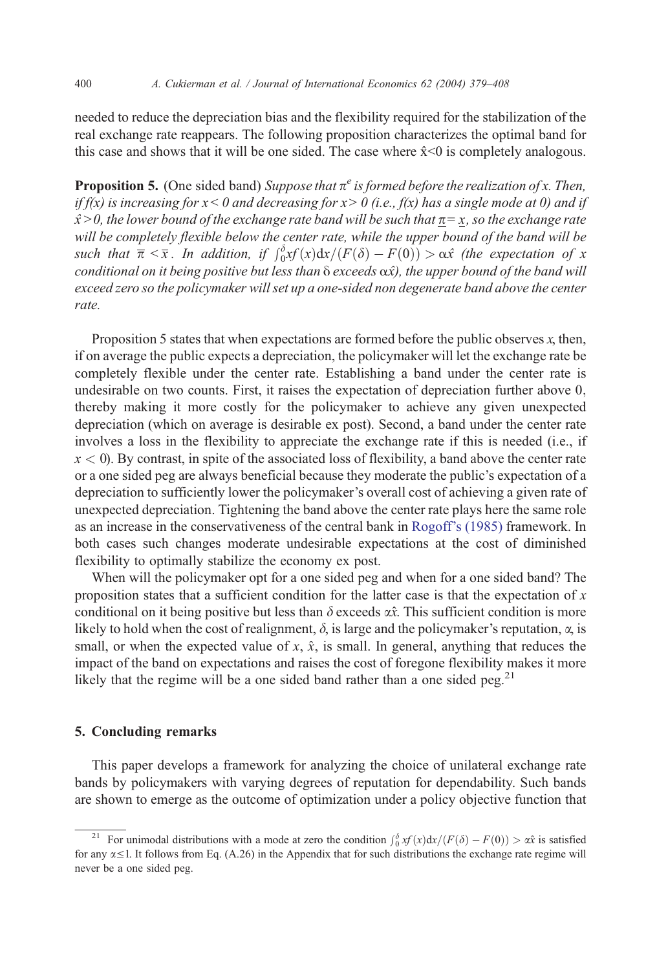needed to reduce the depreciation bias and the flexibility required for the stabilization of the real exchange rate reappears. The following proposition characterizes the optimal band for this case and shows that it will be one sided. The case where  $\hat{x}$ <0 is completely analogous.

**Proposition 5.** (One sided band) Suppose that  $\pi^e$  is formed before the realization of x. Then, if  $f(x)$  is increasing for  $x < 0$  and decreasing for  $x > 0$  (i.e.,  $f(x)$  has a single mode at 0) and if  $\hat{x}$  > 0, the lower bound of the exchange rate band will be such that  $\overline{x}$  =  $\overline{x}$ , so the exchange rate will be completely flexible below the center rate, while the upper bound of the band will be such that  $\bar{\pi} < \bar{x}$ . In addition, if  $\int_0^{\delta} xf(x) dx/(F(\delta) - F(0)) > \alpha \hat{x}$  (the expectation of x conditional on it being positive but less than  $\delta$  exceeds  $\alpha\hat{x}$ ), the upper bound of the band will exceed zero so the policymaker will set up a one-sided non degenerate band above the center rate.

Proposition 5 states that when expectations are formed before the public observes x, then, if on average the public expects a depreciation, the policymaker will let the exchange rate be completely flexible under the center rate. Establishing a band under the center rate is undesirable on two counts. First, it raises the expectation of depreciation further above 0; thereby making it more costly for the policymaker to achieve any given unexpected depreciation (which on average is desirable ex post). Second, a band under the center rate involves a loss in the flexibility to appreciate the exchange rate if this is needed (i.e., if  $x < 0$ ). By contrast, in spite of the associated loss of flexibility, a band above the center rate or a one sided peg are always beneficial because they moderate the public's expectation of a depreciation to sufficiently lower the policymaker's overall cost of achieving a given rate of unexpected depreciation. Tightening the band above the center rate plays here the same role as an increase in the conservativeness of the central bank in [Rogoff's \(1985\)](#page-29-0) framework. In both cases such changes moderate undesirable expectations at the cost of diminished flexibility to optimally stabilize the economy ex post.

When will the policymaker opt for a one sided peg and when for a one sided band? The proposition states that a sufficient condition for the latter case is that the expectation of  $x$ conditional on it being positive but less than  $\delta$  exceeds  $\alpha \hat{x}$ . This sufficient condition is more likely to hold when the cost of realignment,  $\delta$ , is large and the policymaker's reputation,  $\alpha$ , is small, or when the expected value of  $x$ ,  $\hat{x}$ , is small. In general, anything that reduces the impact of the band on expectations and raises the cost of foregone flexibility makes it more likely that the regime will be a one sided band rather than a one sided peg. $21$ 

## 5. Concluding remarks

This paper develops a framework for analyzing the choice of unilateral exchange rate bands by policymakers with varying degrees of reputation for dependability. Such bands are shown to emerge as the outcome of optimization under a policy objective function that

<sup>&</sup>lt;sup>21</sup> For unimodal distributions with a mode at zero the condition  $\int_0^\delta xf(x)dx/(F(\delta) - F(0)) > \alpha \hat{x}$  is satisfied for any  $\alpha \leq 1$ . It follows from Eq. (A.26) in the Appendix that for such distributions the exchange rate regime will never be a one sided peg.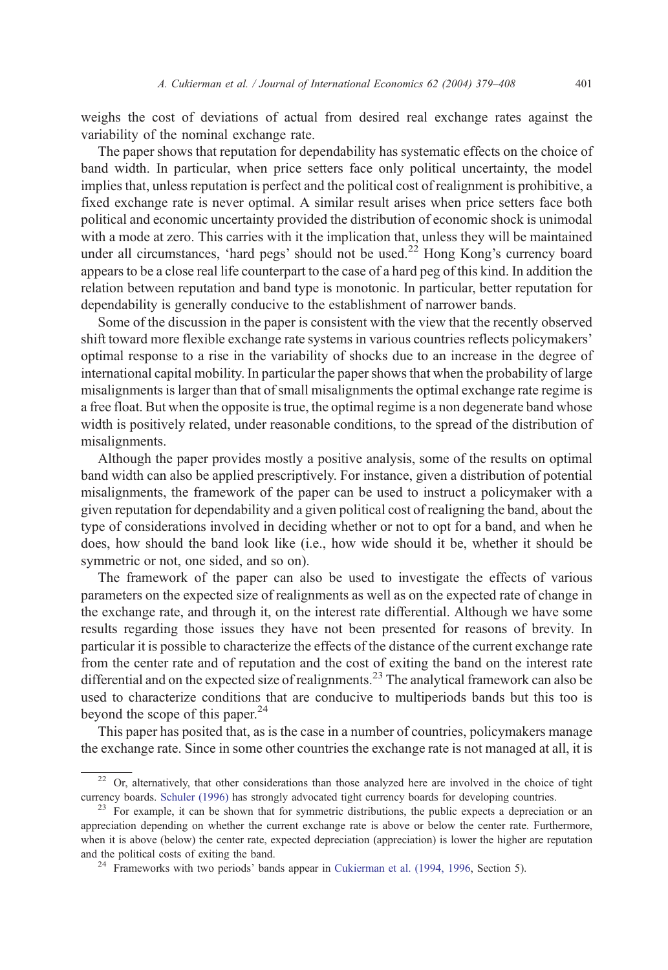weighs the cost of deviations of actual from desired real exchange rates against the variability of the nominal exchange rate.

The paper shows that reputation for dependability has systematic effects on the choice of band width. In particular, when price setters face only political uncertainty, the model implies that, unless reputation is perfect and the political cost of realignment is prohibitive, a fixed exchange rate is never optimal. A similar result arises when price setters face both political and economic uncertainty provided the distribution of economic shock is unimodal with a mode at zero. This carries with it the implication that, unless they will be maintained under all circumstances, 'hard pegs' should not be used.<sup>22</sup> Hong Kong's currency board appears to be a close real life counterpart to the case of a hard peg of this kind. In addition the relation between reputation and band type is monotonic. In particular, better reputation for dependability is generally conducive to the establishment of narrower bands.

Some of the discussion in the paper is consistent with the view that the recently observed shift toward more flexible exchange rate systems in various countries reflects policymakers' optimal response to a rise in the variability of shocks due to an increase in the degree of international capital mobility. In particular the paper shows that when the probability of large misalignments is larger than that of small misalignments the optimal exchange rate regime is a free float. But when the opposite is true, the optimal regime is a non degenerate band whose width is positively related, under reasonable conditions, to the spread of the distribution of misalignments.

Although the paper provides mostly a positive analysis, some of the results on optimal band width can also be applied prescriptively. For instance, given a distribution of potential misalignments, the framework of the paper can be used to instruct a policymaker with a given reputation for dependability and a given political cost of realigning the band, about the type of considerations involved in deciding whether or not to opt for a band, and when he does, how should the band look like (i.e., how wide should it be, whether it should be symmetric or not, one sided, and so on).

The framework of the paper can also be used to investigate the effects of various parameters on the expected size of realignments as well as on the expected rate of change in the exchange rate, and through it, on the interest rate differential. Although we have some results regarding those issues they have not been presented for reasons of brevity. In particular it is possible to characterize the effects of the distance of the current exchange rate from the center rate and of reputation and the cost of exiting the band on the interest rate differential and on the expected size of realignments.<sup>23</sup> The analytical framework can also be used to characterize conditions that are conducive to multiperiods bands but this too is beyond the scope of this paper.<sup>24</sup>

This paper has posited that, as is the case in a number of countries, policymakers manage the exchange rate. Since in some other countries the exchange rate is not managed at all, it is

<sup>22</sup> Or, alternatively, that other considerations than those analyzed here are involved in the choice of tight currency boards. [Schuler \(1996\)](#page-29-0) has strongly advocated tight currency boards for developing countries.<br><sup>23</sup> For example, it can be shown that for symmetric distributions, the public expects a depreciation or an

appreciation depending on whether the current exchange rate is above or below the center rate. Furthermore, when it is above (below) the center rate, expected depreciation (appreciation) is lower the higher are reputation and the political costs of exiting the band.

<sup>&</sup>lt;sup>24</sup> Frameworks with two periods' bands appear in [Cukierman et al. \(1994, 1996,](#page-28-0) Section 5).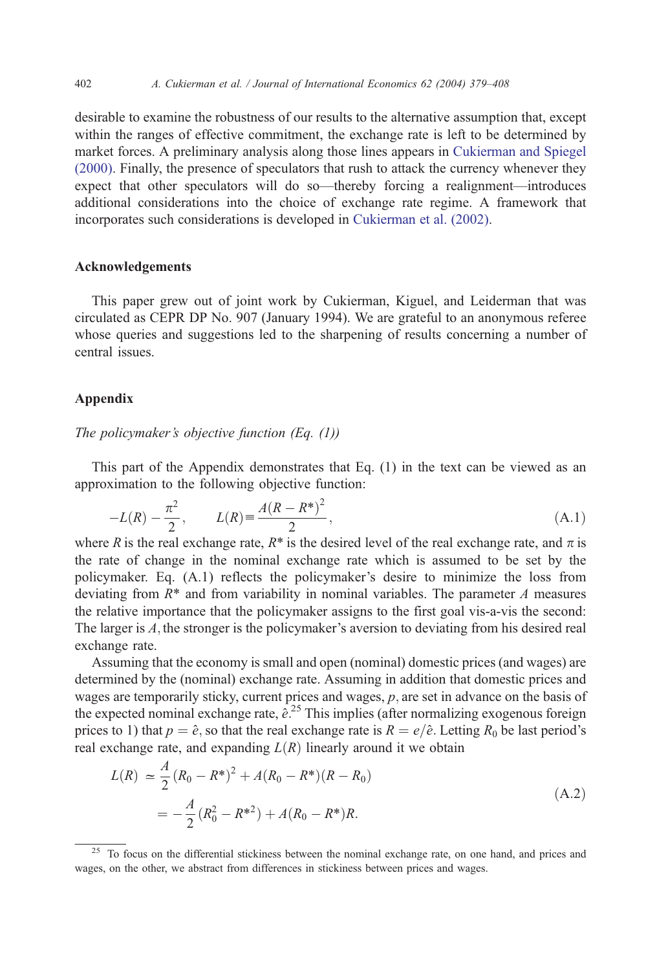desirable to examine the robustness of our results to the alternative assumption that, except within the ranges of effective commitment, the exchange rate is left to be determined by market forces. A preliminary analysis along those lines appears in [Cukierman and Spiegel](#page-29-0) (2000). Finally, the presence of speculators that rush to attack the currency whenever they expect that other speculators will do so—thereby forcing a realignment—introduces additional considerations into the choice of exchange rate regime. A framework that incorporates such considerations is developed in [Cukierman et al. \(2002\).](#page-29-0)

## Acknowledgements

This paper grew out of joint work by Cukierman, Kiguel, and Leiderman that was circulated as CEPR DP No. 907 (January 1994). We are grateful to an anonymous referee whose queries and suggestions led to the sharpening of results concerning a number of central issues.

## Appendix

# The policymaker's objective function (Eq. (1))

This part of the Appendix demonstrates that Eq. (1) in the text can be viewed as an approximation to the following objective function:

$$
-L(R) - \frac{\pi^2}{2}, \qquad L(R) = \frac{A(R - R^*)^2}{2}, \tag{A.1}
$$

where R is the real exchange rate,  $R^*$  is the desired level of the real exchange rate, and  $\pi$  is the rate of change in the nominal exchange rate which is assumed to be set by the policymaker. Eq. (A.1) reflects the policymaker's desire to minimize the loss from deviating from  $R^*$  and from variability in nominal variables. The parameter A measures the relative importance that the policymaker assigns to the first goal vis-a-vis the second: The larger is  $A$ , the stronger is the policymaker's aversion to deviating from his desired real exchange rate.

Assuming that the economy is small and open (nominal) domestic prices (and wages) are determined by the (nominal) exchange rate. Assuming in addition that domestic prices and wages are temporarily sticky, current prices and wages, p; are set in advance on the basis of the expected nominal exchange rate,  $e^{2.25}$  This implies (after normalizing exogenous foreign prices to 1) that  $p = \hat{e}$ , so that the real exchange rate is  $R = e/\hat{e}$ . Letting  $R_0$  be last period's real exchange rate, and expanding  $L(R)$  linearly around it we obtain

$$
L(R) \approx \frac{A}{2} (R_0 - R^*)^2 + A(R_0 - R^*)(R - R_0)
$$
  
=  $-\frac{A}{2} (R_0^2 - R^{*2}) + A(R_0 - R^*)R.$  (A.2)

<sup>&</sup>lt;sup>25</sup> To focus on the differential stickiness between the nominal exchange rate, on one hand, and prices and wages, on the other, we abstract from differences in stickiness between prices and wages.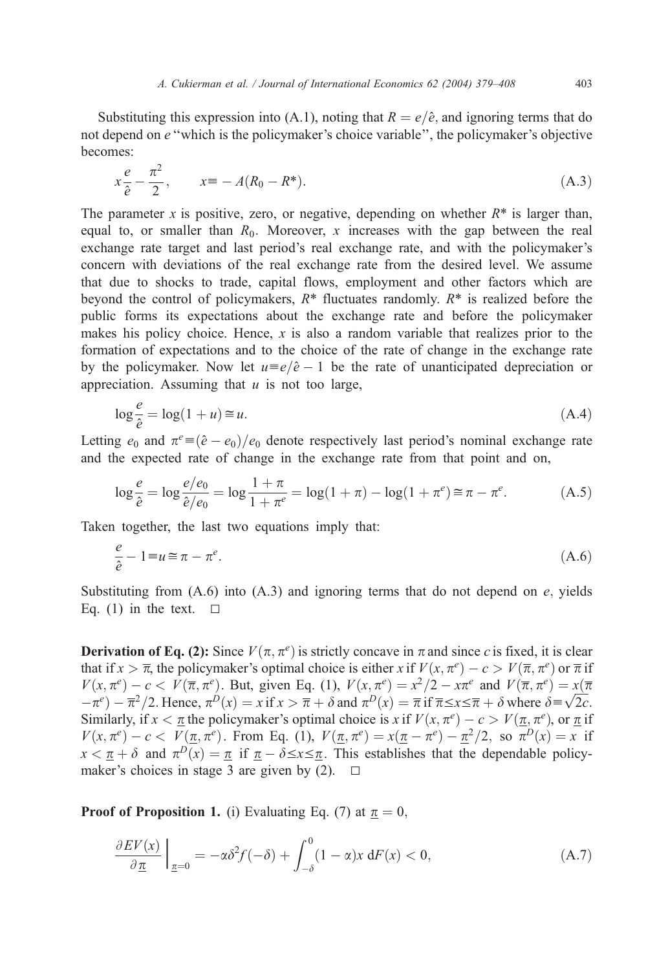Substituting this expression into (A.1), noting that  $R = e/\hat{e}$ , and ignoring terms that do not depend on  $e^{\prime\prime}$  which is the policymaker's choice variable'', the policymaker's objective becomes:

$$
x\frac{e}{\hat{e}} - \frac{\pi^2}{2}, \qquad x \equiv -A(R_0 - R^*). \tag{A.3}
$$

The parameter x is positive, zero, or negative, depending on whether  $R^*$  is larger than, equal to, or smaller than  $R_0$ . Moreover, x increases with the gap between the real exchange rate target and last period's real exchange rate, and with the policymaker's concern with deviations of the real exchange rate from the desired level. We assume that due to shocks to trade, capital flows, employment and other factors which are beyond the control of policymakers,  $R^*$  fluctuates randomly.  $R^*$  is realized before the public forms its expectations about the exchange rate and before the policymaker makes his policy choice. Hence,  $x$  is also a random variable that realizes prior to the formation of expectations and to the choice of the rate of change in the exchange rate by the policymaker. Now let  $u \equiv e/\hat{e} - 1$  be the rate of unanticipated depreciation or appreciation. Assuming that  $u$  is not too large,

$$
\log \frac{e}{\hat{e}} = \log(1 + u) \cong u. \tag{A.4}
$$

Letting  $e_0$  and  $\pi^e = (\hat{e} - e_0)/e_0$  denote respectively last period's nominal exchange rate and the expected rate of change in the exchange rate from that point and on,

$$
\log \frac{e}{\hat{e}} = \log \frac{e/e_0}{\hat{e}/e_0} = \log \frac{1+\pi}{1+\pi^e} = \log(1+\pi) - \log(1+\pi^e) \approx \pi - \pi^e.
$$
 (A.5)

Taken together, the last two equations imply that:

$$
\frac{e}{\hat{e}} - 1 \equiv u \cong \pi - \pi^e. \tag{A.6}
$$

Substituting from  $(A.6)$  into  $(A.3)$  and ignoring terms that do not depend on e, yields Eq. (1) in the text.  $\square$ 

**Derivation of Eq. (2):** Since  $V(\pi, \pi^e)$  is strictly concave in  $\pi$  and since c is fixed, it is clear that if  $x > \overline{\pi}$ , the policymaker's optimal choice is either x if  $V(x, \pi^e) - c > V(\overline{\pi}, \pi^e)$  or  $\overline{\pi}$  if  $V(x, \pi^e) - c < V(\overline{\pi}, \pi^e)$ . But, given Eq. (1),  $V(x, \pi^e) = x^2/2 - x\pi^e$  and  $V(\overline{\pi}, \pi^e) = x(\overline{\pi}, \pi^e)$  $\mathcal{P}(x, \pi^2) - \mathcal{E} \leq \mathcal{P}(\pi, \pi^2)$ . But, given Eq. (1),  $\mathcal{P}(x, \pi^2) = x^2/2 - x\pi^2$  and  $\mathcal{P}(\pi, \pi^2) = x(\pi - \pi^2) - \pi^2/2$ . Hence,  $\pi^D(x) = x$  if  $x > \pi + \delta$  and  $\pi^D(x) = \pi$  if  $\pi \leq x \leq \pi + \delta$  where  $\delta = \sqrt{2c}$ . Similarly, if  $x < \underline{\pi}$  the policymaker's optimal choice is x if  $V(x, \pi^e) - c > V(\underline{\pi}, \pi^e)$ , or  $\underline{\pi}$  if  $V(x, \pi^e) - c < V(\underline{\pi}, \pi^e)$ . From Eq. (1),  $V(\underline{\pi}, \pi^e) = x(\underline{\pi} - \pi^e) - \frac{\pi^2}{2}$ , so  $\pi^D(x) = x$  if  $x < \underline{\pi} + \delta$  and  $\pi^{D}(x) = \underline{\pi}$  if  $\underline{\pi} - \delta \le x \le \underline{\pi}$ . This establishes that the dependable policymaker's choices in stage 3 are given by (2).  $\Box$ 

**Proof of Proposition 1.** (i) Evaluating Eq. (7) at  $\pi = 0$ ,

$$
\frac{\partial EV(x)}{\partial \underline{\pi}}\bigg|_{\underline{\pi}=0} = -\alpha \delta^2 f(-\delta) + \int_{-\delta}^0 (1-\alpha)x \, dF(x) < 0,\tag{A.7}
$$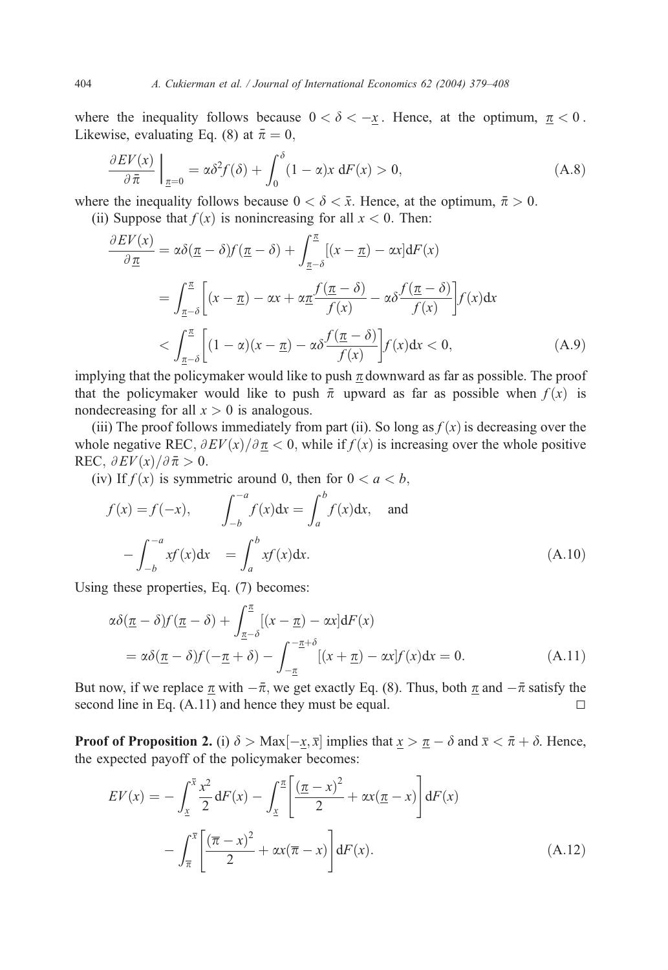where the inequality follows because  $0 < \delta < -x$ . Hence, at the optimum,  $\pi < 0$ . Likewise, evaluating Eq. (8) at  $\bar{\pi} = 0$ ,

$$
\frac{\partial EV(x)}{\partial \bar{\pi}}\bigg|_{\underline{\pi}=0} = \alpha \delta^2 f(\delta) + \int_0^\delta (1-\alpha)x \, dF(x) > 0,
$$
\n(A.8)

where the inequality follows because  $0 < \delta < \bar{x}$ . Hence, at the optimum,  $\bar{\pi} > 0$ .

(ii) Suppose that  $f(x)$  is nonincreasing for all  $x < 0$ . Then:

$$
\frac{\partial EV(x)}{\partial \underline{\pi}} = \alpha \delta(\underline{\pi} - \delta) f(\underline{\pi} - \delta) + \int_{\underline{\pi} - \delta}^{\underline{\pi}} [(x - \underline{\pi}) - \alpha x] dF(x)
$$

$$
= \int_{\underline{\pi} - \delta}^{\underline{\pi}} \left[ (x - \underline{\pi}) - \alpha x + \alpha \underline{\pi} \frac{f(\underline{\pi} - \delta)}{f(x)} - \alpha \delta \frac{f(\underline{\pi} - \delta)}{f(x)} \right] f(x) dx
$$

$$
< \int_{\underline{\pi} - \delta}^{\underline{\pi}} \left[ (1 - \alpha)(x - \underline{\pi}) - \alpha \delta \frac{f(\underline{\pi} - \delta)}{f(x)} \right] f(x) dx < 0,
$$
(A.9)

implying that the policymaker would like to push  $\pi$  downward as far as possible. The proof that the policymaker would like to push  $\bar{\pi}$  upward as far as possible when  $f(x)$  is nondecreasing for all  $x > 0$  is analogous.

(iii) The proof follows immediately from part (ii). So long as  $f(x)$  is decreasing over the whole negative REC,  $\partial EV(x)/\partial \underline{\pi} < 0$ , while if  $f(x)$  is increasing over the whole positive REC,  $\partial EV(x)/\partial \bar \pi > 0$ .

(iv) If  $f(x)$  is symmetric around 0, then for  $0 < a < b$ ,

$$
f(x) = f(-x), \qquad \int_{-b}^{-a} f(x)dx = \int_{a}^{b} f(x)dx, \text{ and}
$$

$$
-\int_{-b}^{-a} xf(x)dx = \int_{a}^{b} xf(x)dx.
$$
(A.10)

Using these properties, Eq. (7) becomes:

$$
\alpha \delta(\underline{\pi} - \delta) f(\underline{\pi} - \delta) + \int_{\underline{\pi} - \delta}^{\underline{\pi}} [(x - \underline{\pi}) - \alpha x] dF(x)
$$
  
=  $\alpha \delta(\underline{\pi} - \delta) f(-\underline{\pi} + \delta) - \int_{-\underline{\pi}}^{-\underline{\pi} + \delta} [(x + \underline{\pi}) - \alpha x] f(x) dx = 0.$  (A.11)

But now, if we replace  $\pi$  with  $-\bar{\pi}$ , we get exactly Eq. (8). Thus, both  $\pi$  and  $-\bar{\pi}$  satisfy the second line in Eq.  $(A.11)$  and hence they must be equal.  $\Box$ 

**Proof of Proposition 2.** (i)  $\delta > \text{Max}[-\underline{x}, \overline{x}]$  implies that  $\underline{x} > \underline{\pi} - \delta$  and  $\overline{x} < \overline{\pi} + \delta$ . Hence, the expected payoff of the policymaker becomes:

$$
EV(x) = -\int_{\underline{x}}^{\overline{x}} \frac{x^2}{2} dF(x) - \int_{\underline{x}}^{\overline{x}} \left[ \frac{(\underline{\pi} - x)^2}{2} + \alpha x (\underline{\pi} - x) \right] dF(x)
$$

$$
- \int_{\overline{\pi}}^{\overline{x}} \left[ \frac{(\overline{\pi} - x)^2}{2} + \alpha x (\overline{\pi} - x) \right] dF(x).
$$
(A.12)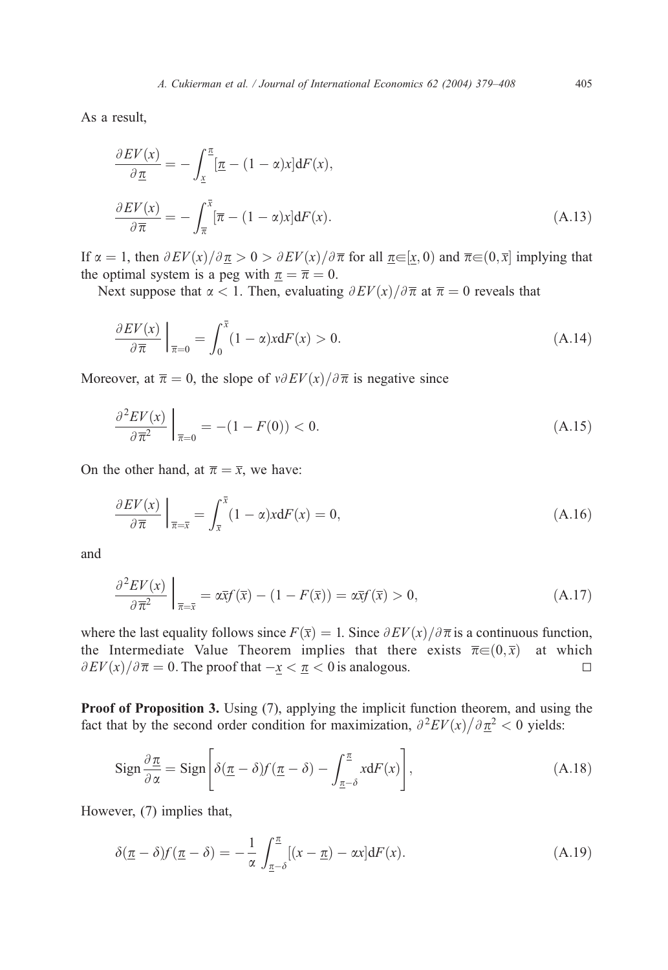As a result,

$$
\frac{\partial EV(x)}{\partial \underline{\pi}} = -\int_{\underline{x}}^{\underline{\pi}} [\underline{\pi} - (1 - \alpha)x] dF(x),
$$
  

$$
\frac{\partial EV(x)}{\partial \overline{\pi}} = -\int_{\overline{\pi}}^{\overline{x}} [\overline{\pi} - (1 - \alpha)x] dF(x).
$$
 (A.13)

If  $\alpha = 1$ , then  $\frac{\partial EV(x)}{\partial \pi} > 0 > \frac{\partial EV(x)}{\partial \pi}$  for all  $\pi \in [x, 0)$  and  $\pi \in (0, \bar{x}]$  implying that the optimal system is a peg with  $\pi = \overline{n} = 0$ .

Next suppose that  $\alpha < 1$ . Then, evaluating  $\partial E V(x)/\partial \overline{\pi}$  at  $\overline{\pi} = 0$  reveals that

$$
\frac{\partial EV(x)}{\partial \overline{x}}\bigg|_{\overline{x}=0} = \int_0^{\overline{x}} (1-\alpha)x \mathrm{d}F(x) > 0.
$$
\n(A.14)

Moreover, at  $\bar{\pi} = 0$ , the slope of  $v \partial E V(x)/\partial \bar{\pi}$  is negative since

$$
\frac{\partial^2 EV(x)}{\partial \overline{x}^2} \bigg|_{\overline{x}=0} = -(1 - F(0)) < 0. \tag{A.15}
$$

On the other hand, at  $\overline{\pi} = \overline{x}$ , we have:

$$
\frac{\partial EV(x)}{\partial \overline{x}}\bigg|_{\overline{x}=\overline{x}} = \int_{\overline{x}}^{\overline{x}} (1-\alpha)x \mathrm{d}F(x) = 0,
$$
\n(A.16)

and

$$
\frac{\partial^2 EV(x)}{\partial \overline{x}^2} \bigg|_{\overline{x} = \overline{x}} = \alpha \overline{x} f(\overline{x}) - (1 - F(\overline{x})) = \alpha \overline{x} f(\overline{x}) > 0,
$$
\n(A.17)

where the last equality follows since  $F(\bar{x})=1$ . Since  $\partial EV(x)/\partial \bar{\pi}$  is a continuous function, the Intermediate Value Theorem implies that there exists  $\overline{\pi} \in (0, \overline{x})$  at which  $\partial EV(x)/\partial \overline{x} = 0$ . The proof that  $-\underline{x} < \underline{\pi} < 0$  is analogous.

Proof of Proposition 3. Using (7), applying the implicit function theorem, and using the fact that by the second order condition for maximization,  $\partial^2 E V(x)/\partial \underline{\pi}^2 < 0$  yields:

$$
\operatorname{Sign} \frac{\partial \underline{\pi}}{\partial \alpha} = \operatorname{Sign} \left[ \delta(\underline{\pi} - \delta) f(\underline{\pi} - \delta) - \int_{\underline{\pi} - \delta}^{\underline{\pi}} x \mathrm{d} F(x) \right],\tag{A.18}
$$

However, (7) implies that,

$$
\delta(\underline{\pi} - \delta)f(\underline{\pi} - \delta) = -\frac{1}{\alpha} \int_{\underline{\pi} - \delta}^{\underline{\pi}} [(x - \underline{\pi}) - \alpha x] dF(x).
$$
 (A.19)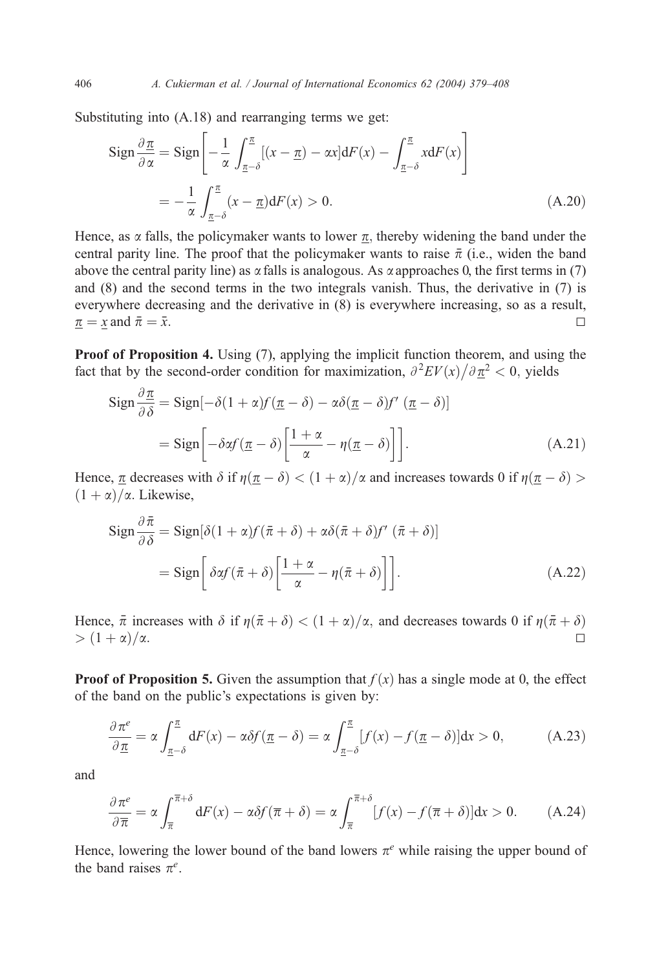Substituting into (A.18) and rearranging terms we get:

$$
\operatorname{Sign} \frac{\partial \underline{\pi}}{\partial \alpha} = \operatorname{Sign} \left[ -\frac{1}{\alpha} \int_{\underline{\pi} - \delta}^{\underline{\pi}} [(x - \underline{\pi}) - \alpha x] dF(x) - \int_{\underline{\pi} - \delta}^{\underline{\pi}} x dF(x) \right]
$$

$$
= -\frac{1}{\alpha} \int_{\underline{\pi} - \delta}^{\underline{\pi}} (x - \underline{\pi}) dF(x) > 0.
$$
(A.20)

Hence, as  $\alpha$  falls, the policymaker wants to lower  $\pi$ , thereby widening the band under the central parity line. The proof that the policymaker wants to raise  $\bar{\pi}$  (i.e., widen the band above the central parity line) as  $\alpha$  falls is analogous. As  $\alpha$  approaches 0, the first terms in (7) and (8) and the second terms in the two integrals vanish. Thus, the derivative in (7) is everywhere decreasing and the derivative in (8) is everywhere increasing, so as a result,  $\underline{\pi} = \underline{x}$  and  $\overline{\pi} = \overline{x}$ .

Proof of Proposition 4. Using (7), applying the implicit function theorem, and using the fact that by the second-order condition for maximization,  $\partial^2 E V(x)/\partial \underline{\pi}^2 < 0$ , yields

$$
\text{Sign}\frac{\partial \underline{\pi}}{\partial \delta} = \text{Sign}[-\delta(1+\alpha)f(\underline{\pi}-\delta) - \alpha\delta(\underline{\pi}-\delta)f'(\underline{\pi}-\delta)]
$$

$$
= \text{Sign}\left[-\delta\alpha f(\underline{\pi}-\delta)\left[\frac{1+\alpha}{\alpha} - \eta(\underline{\pi}-\delta)\right]\right].
$$
(A.21)

Hence,  $\pi$  decreases with  $\delta$  if  $\eta(\pi - \delta) < (1 + \alpha)/\alpha$  and increases towards 0 if  $\eta(\pi - \delta)$  $(1 + \alpha)/\alpha$ . Likewise,

$$
\text{Sign}\frac{\partial\bar{\pi}}{\partial\delta} = \text{Sign}[\delta(1+\alpha)f(\bar{\pi}+\delta) + \alpha\delta(\bar{\pi}+\delta)f'(\bar{\pi}+\delta)]
$$

$$
= \text{Sign}\left[\delta\alpha f(\bar{\pi}+\delta)\left[\frac{1+\alpha}{\alpha} - \eta(\bar{\pi}+\delta)\right]\right].
$$
(A.22)

Hence,  $\bar{\pi}$  increases with  $\delta$  if  $\eta(\bar{\pi} + \delta) < (1 + \alpha)/\alpha$ , and decreases towards 0 if  $\eta(\bar{\pi} + \delta)$  $> (1 + \alpha)/\alpha$ .

**Proof of Proposition 5.** Given the assumption that  $f(x)$  has a single mode at 0, the effect of the band on the public's expectations is given by:

$$
\frac{\partial \pi^e}{\partial \underline{\pi}} = \alpha \int_{\underline{\pi}-\delta}^{\underline{\pi}} dF(x) - \alpha \delta f(\underline{\pi}-\delta) = \alpha \int_{\underline{\pi}-\delta}^{\underline{\pi}} [f(x) - f(\underline{\pi}-\delta)] dx > 0,
$$
 (A.23)

and

$$
\frac{\partial \pi^e}{\partial \overline{\pi}} = \alpha \int_{\overline{\pi}}^{\overline{\pi}+\delta} dF(x) - \alpha \delta f(\overline{\pi}+\delta) = \alpha \int_{\overline{\pi}}^{\overline{\pi}+\delta} [f(x) - f(\overline{\pi}+\delta)] dx > 0.
$$
 (A.24)

Hence, lowering the lower bound of the band lowers  $\pi^e$  while raising the upper bound of the band raises  $\pi^e$ .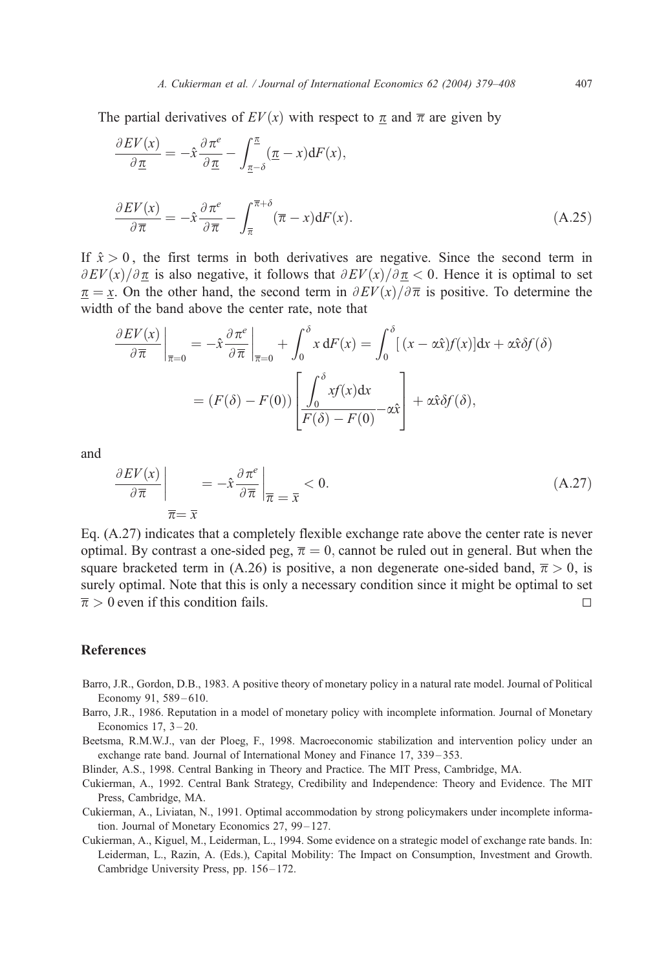<span id="page-28-0"></span>The partial derivatives of  $EV(x)$  with respect to  $\pi$  and  $\overline{\pi}$  are given by

$$
\frac{\partial EV(x)}{\partial \underline{\pi}} = -\hat{x} \frac{\partial \pi^e}{\partial \underline{\pi}} - \int_{\underline{\pi} - \delta}^{\underline{\pi}} (\underline{\pi} - x) dF(x),
$$

$$
\frac{\partial EV(x)}{\partial \overline{\pi}} = -\hat{x} \frac{\partial \pi^e}{\partial \overline{\pi}} - \int_{\overline{\pi}}^{\overline{\pi} + \delta} (\overline{\pi} - x) dF(x).
$$
(A.25)

If  $\hat{x} > 0$ , the first terms in both derivatives are negative. Since the second term in  $\partial E V(x)/\partial \pi$  is also negative, it follows that  $\partial E V(x)/\partial \pi < 0$ . Hence it is optimal to set  $\pi = x$ . On the other hand, the second term in  $\partial E V(x)/\partial \overline{\pi}$  is positive. To determine the width of the band above the center rate, note that

$$
\frac{\partial EV(x)}{\partial \pi}\Big|_{\overline{\pi}=0} = -\hat{x}\frac{\partial \pi^e}{\partial \overline{\pi}}\Big|_{\overline{\pi}=0} + \int_0^{\delta} x \,dF(x) = \int_0^{\delta} [(x - \alpha \hat{x})f(x)]dx + \alpha \hat{x}\delta f(\delta)
$$

$$
= (F(\delta) - F(0)) \left[ \frac{\int_0^{\delta} xf(x)dx}{F(\delta) - F(0)} - \alpha \hat{x} \right] + \alpha \hat{x}\delta f(\delta),
$$

and

$$
\frac{\partial EV(x)}{\partial \overline{\pi}}\Big|_{\overline{\pi} = \overline{x}} = -\hat{x}\frac{\partial \pi^e}{\partial \overline{\pi}}\Big|_{\overline{\pi} = \overline{x}} < 0.
$$
\n(A.27)

Eq. (A.27) indicates that a completely flexible exchange rate above the center rate is never optimal. By contrast a one-sided peg,  $\overline{\pi} = 0$ , cannot be ruled out in general. But when the square bracketed term in (A.26) is positive, a non degenerate one-sided band,  $\overline{\pi} > 0$ , is surely optimal. Note that this is only a necessary condition since it might be optimal to set  $\overline{\pi} > 0$  even if this condition fails.

## References

- Barro, J.R., Gordon, D.B., 1983. A positive theory of monetary policy in a natural rate model. Journal of Political Economy 91, 589-610.
- Barro, J.R., 1986. Reputation in a model of monetary policy with incomplete information. Journal of Monetary Economics 17,  $3-20$ .
- Beetsma, R.M.W.J., van der Ploeg, F., 1998. Macroeconomic stabilization and intervention policy under an exchange rate band. Journal of International Money and Finance 17, 339-353.
- Blinder, A.S., 1998. Central Banking in Theory and Practice. The MIT Press, Cambridge, MA.
- Cukierman, A., 1992. Central Bank Strategy, Credibility and Independence: Theory and Evidence. The MIT Press, Cambridge, MA.
- Cukierman, A., Liviatan, N., 1991. Optimal accommodation by strong policymakers under incomplete information. Journal of Monetary Economics 27, 99-127.
- Cukierman, A., Kiguel, M., Leiderman, L., 1994. Some evidence on a strategic model of exchange rate bands. In: Leiderman, L., Razin, A. (Eds.), Capital Mobility: The Impact on Consumption, Investment and Growth. Cambridge University Press, pp. 156-172.